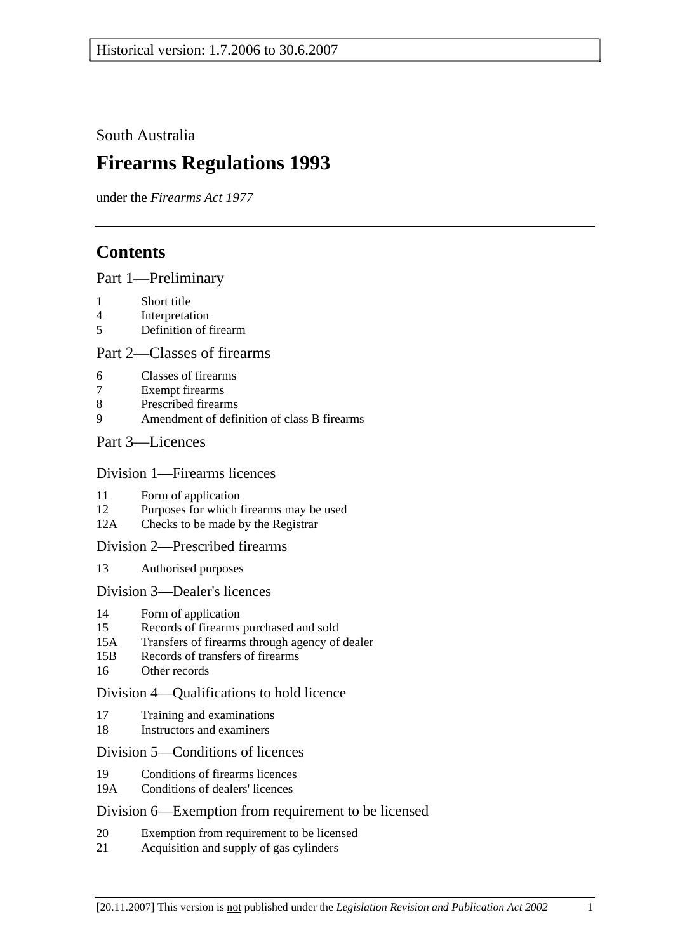South Australia

# **Firearms Regulations 1993**

under the *Firearms Act 1977*

# **Contents**

## Part 1—Preliminary

- 1 Short title
- 4 Interpretation
- 5 Definition of firearm

#### Part 2—Classes of firearms

- 6 Classes of firearms
- 7 Exempt firearms
- 8 Prescribed firearms
- 9 Amendment of definition of class B firearms

# Part 3—Licences

#### Division 1—Firearms licences

- 11 Form of application
- 12 Purposes for which firearms may be used
- 12A Checks to be made by the Registrar

#### Division 2—Prescribed firearms

13 Authorised purposes

#### Division 3—Dealer's licences

- 14 Form of application
- 15 Records of firearms purchased and sold
- 15A Transfers of firearms through agency of dealer
- 15B Records of transfers of firearms
- 16 Other records

## Division 4—Qualifications to hold licence

- 17 Training and examinations
- 18 Instructors and examiners

# Division 5—Conditions of licences

- 19 Conditions of firearms licences
- 19A Conditions of dealers' licences

#### Division 6—Exemption from requirement to be licensed

- 20 Exemption from requirement to be licensed
- 21 Acquisition and supply of gas cylinders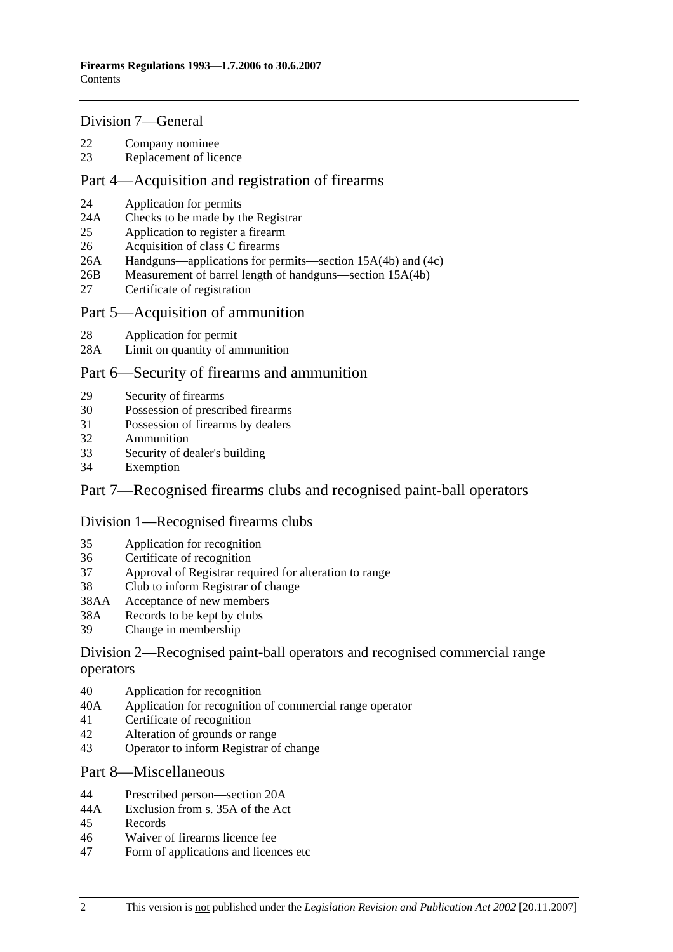#### Division 7—General

- 22 Company nominee
- 23 Replacement of licence

#### Part 4—Acquisition and registration of firearms

- 24 Application for permits
- 24A Checks to be made by the Registrar
- 25 Application to register a firearm
- 26 Acquisition of class C firearms
- 26A Handguns—applications for permits—section 15A(4b) and (4c)
- 26B Measurement of barrel length of handguns—section 15A(4b)
- 27 Certificate of registration

#### Part 5—Acquisition of ammunition

- 28 Application for permit
- 28A Limit on quantity of ammunition

#### Part 6—Security of firearms and ammunition

- 29 Security of firearms
- 30 Possession of prescribed firearms
- 31 Possession of firearms by dealers
- 32 Ammunition
- 33 Security of dealer's building
- 34 Exemption

#### Part 7—Recognised firearms clubs and recognised paint-ball operators

#### Division 1—Recognised firearms clubs

- 35 Application for recognition
- 36 Certificate of recognition
- 37 Approval of Registrar required for alteration to range
- 38 Club to inform Registrar of change
- 38AA Acceptance of new members
- 38A Records to be kept by clubs
- 39 Change in membership

#### Division 2—Recognised paint-ball operators and recognised commercial range operators

- 40 Application for recognition
- 40A Application for recognition of commercial range operator
- 41 Certificate of recognition
- 42 Alteration of grounds or range
- 43 Operator to inform Registrar of change

#### Part 8—Miscellaneous

- 44 Prescribed person—section 20A
- 44A Exclusion from s. 35A of the Act
- 45 Records
- 46 Waiver of firearms licence fee
- 47 Form of applications and licences etc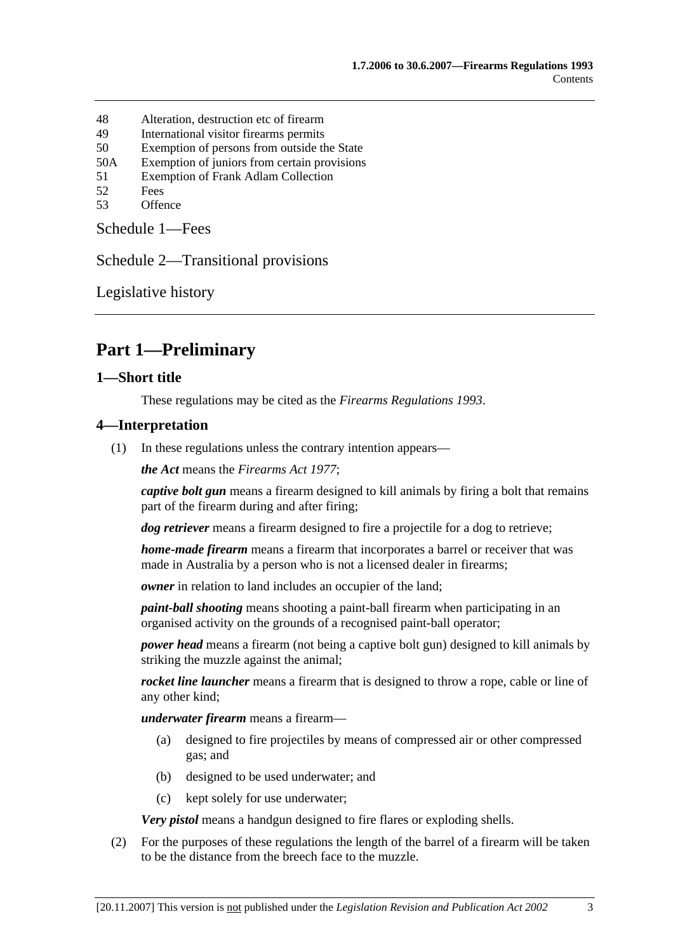- 48 Alteration, destruction etc of firearm
- 49 International visitor firearms permits
- 50 Exemption of persons from outside the State
- 50A Exemption of juniors from certain provisions
- 51 Exemption of Frank Adlam Collection
- 52 Fees
- 53 Offence

Schedule 1—Fees

Schedule 2—Transitional provisions

Legislative history

# **Part 1—Preliminary**

#### **1—Short title**

These regulations may be cited as the *Firearms Regulations 1993*.

#### **4—Interpretation**

(1) In these regulations unless the contrary intention appears—

*the Act* means the *Firearms Act 1977*;

*captive bolt gun* means a firearm designed to kill animals by firing a bolt that remains part of the firearm during and after firing;

*dog retriever* means a firearm designed to fire a projectile for a dog to retrieve;

*home-made firearm* means a firearm that incorporates a barrel or receiver that was made in Australia by a person who is not a licensed dealer in firearms;

*owner* in relation to land includes an occupier of the land;

*paint-ball shooting* means shooting a paint-ball firearm when participating in an organised activity on the grounds of a recognised paint-ball operator;

*power head* means a firearm (not being a captive bolt gun) designed to kill animals by striking the muzzle against the animal;

*rocket line launcher* means a firearm that is designed to throw a rope, cable or line of any other kind;

*underwater firearm* means a firearm—

- (a) designed to fire projectiles by means of compressed air or other compressed gas; and
- (b) designed to be used underwater; and
- (c) kept solely for use underwater;

*Very pistol* means a handgun designed to fire flares or exploding shells.

 (2) For the purposes of these regulations the length of the barrel of a firearm will be taken to be the distance from the breech face to the muzzle.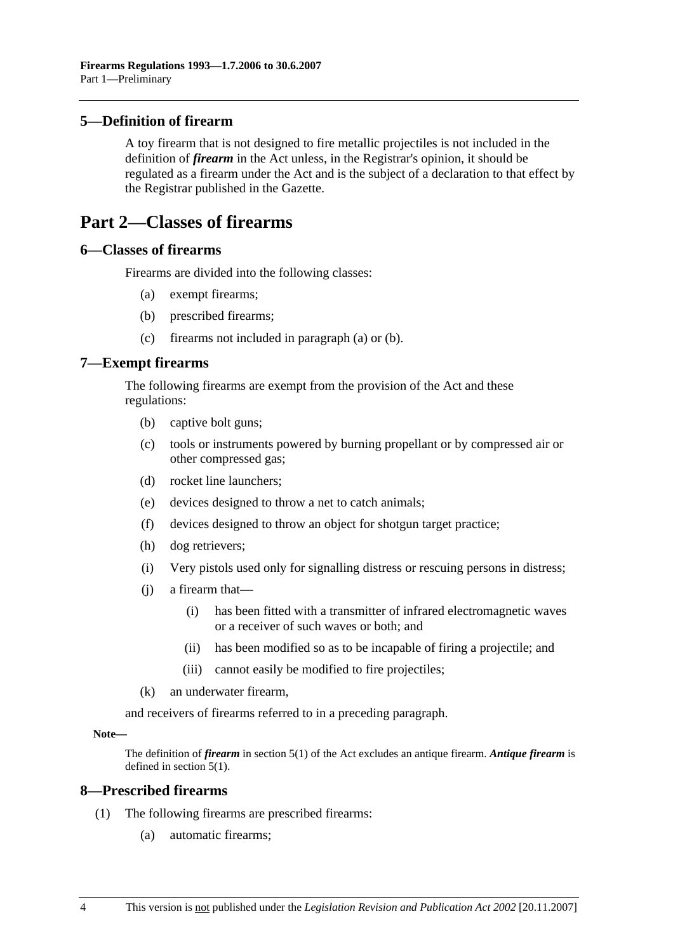### **5—Definition of firearm**

A toy firearm that is not designed to fire metallic projectiles is not included in the definition of *firearm* in the Act unless, in the Registrar's opinion, it should be regulated as a firearm under the Act and is the subject of a declaration to that effect by the Registrar published in the Gazette.

# **Part 2—Classes of firearms**

#### **6—Classes of firearms**

Firearms are divided into the following classes:

- (a) exempt firearms;
- (b) prescribed firearms;
- (c) firearms not included in paragraph (a) or (b).

#### **7—Exempt firearms**

The following firearms are exempt from the provision of the Act and these regulations:

- (b) captive bolt guns;
- (c) tools or instruments powered by burning propellant or by compressed air or other compressed gas;
- (d) rocket line launchers;
- (e) devices designed to throw a net to catch animals;
- (f) devices designed to throw an object for shotgun target practice;
- (h) dog retrievers;
- (i) Very pistols used only for signalling distress or rescuing persons in distress;
- (j) a firearm that—
	- (i) has been fitted with a transmitter of infrared electromagnetic waves or a receiver of such waves or both; and
	- (ii) has been modified so as to be incapable of firing a projectile; and
	- (iii) cannot easily be modified to fire projectiles;
- (k) an underwater firearm,

and receivers of firearms referred to in a preceding paragraph.

#### **Note—**

The definition of *firearm* in section 5(1) of the Act excludes an antique firearm. *Antique firearm* is defined in section 5(1).

#### **8—Prescribed firearms**

- (1) The following firearms are prescribed firearms:
	- (a) automatic firearms;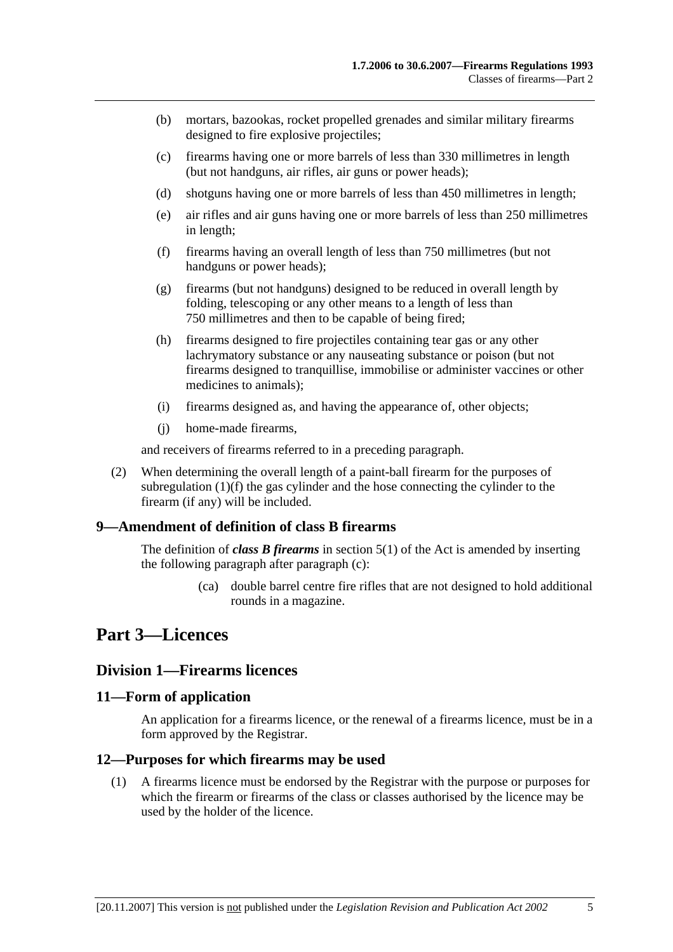- (b) mortars, bazookas, rocket propelled grenades and similar military firearms designed to fire explosive projectiles;
- (c) firearms having one or more barrels of less than 330 millimetres in length (but not handguns, air rifles, air guns or power heads);
- (d) shotguns having one or more barrels of less than 450 millimetres in length;
- (e) air rifles and air guns having one or more barrels of less than 250 millimetres in length;
- (f) firearms having an overall length of less than 750 millimetres (but not handguns or power heads);
- (g) firearms (but not handguns) designed to be reduced in overall length by folding, telescoping or any other means to a length of less than 750 millimetres and then to be capable of being fired;
- (h) firearms designed to fire projectiles containing tear gas or any other lachrymatory substance or any nauseating substance or poison (but not firearms designed to tranquillise, immobilise or administer vaccines or other medicines to animals);
- (i) firearms designed as, and having the appearance of, other objects;
- (j) home-made firearms,

and receivers of firearms referred to in a preceding paragraph.

 (2) When determining the overall length of a paint-ball firearm for the purposes of subregulation (1)(f) the gas cylinder and the hose connecting the cylinder to the firearm (if any) will be included.

#### **9—Amendment of definition of class B firearms**

The definition of *class B firearms* in section 5(1) of the Act is amended by inserting the following paragraph after paragraph (c):

> (ca) double barrel centre fire rifles that are not designed to hold additional rounds in a magazine.

# **Part 3—Licences**

#### **Division 1—Firearms licences**

#### **11—Form of application**

An application for a firearms licence, or the renewal of a firearms licence, must be in a form approved by the Registrar.

#### **12—Purposes for which firearms may be used**

 (1) A firearms licence must be endorsed by the Registrar with the purpose or purposes for which the firearm or firearms of the class or classes authorised by the licence may be used by the holder of the licence.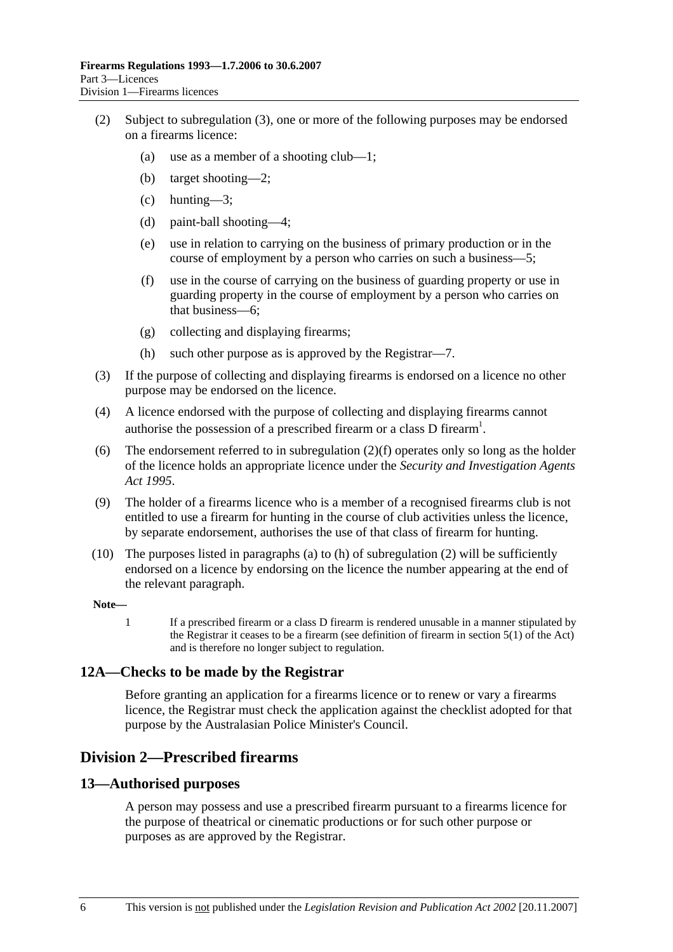- (2) Subject to subregulation (3), one or more of the following purposes may be endorsed on a firearms licence:
	- (a) use as a member of a shooting club—1;
	- (b) target shooting—2;
	- (c) hunting—3;
	- (d) paint-ball shooting—4;
	- (e) use in relation to carrying on the business of primary production or in the course of employment by a person who carries on such a business—5;
	- (f) use in the course of carrying on the business of guarding property or use in guarding property in the course of employment by a person who carries on that business—6;
	- (g) collecting and displaying firearms;
	- (h) such other purpose as is approved by the Registrar—7.
- (3) If the purpose of collecting and displaying firearms is endorsed on a licence no other purpose may be endorsed on the licence.
- (4) A licence endorsed with the purpose of collecting and displaying firearms cannot authorise the possession of a prescribed firearm or a class D firearm<sup>1</sup>.
- (6) The endorsement referred to in subregulation (2)(f) operates only so long as the holder of the licence holds an appropriate licence under the *Security and Investigation Agents Act 1995*.
- (9) The holder of a firearms licence who is a member of a recognised firearms club is not entitled to use a firearm for hunting in the course of club activities unless the licence, by separate endorsement, authorises the use of that class of firearm for hunting.
- (10) The purposes listed in paragraphs (a) to (h) of subregulation (2) will be sufficiently endorsed on a licence by endorsing on the licence the number appearing at the end of the relevant paragraph.

#### **Note—**

1 If a prescribed firearm or a class D firearm is rendered unusable in a manner stipulated by the Registrar it ceases to be a firearm (see definition of firearm in section 5(1) of the Act) and is therefore no longer subject to regulation.

#### **12A—Checks to be made by the Registrar**

Before granting an application for a firearms licence or to renew or vary a firearms licence, the Registrar must check the application against the checklist adopted for that purpose by the Australasian Police Minister's Council.

# **Division 2—Prescribed firearms**

#### **13—Authorised purposes**

A person may possess and use a prescribed firearm pursuant to a firearms licence for the purpose of theatrical or cinematic productions or for such other purpose or purposes as are approved by the Registrar.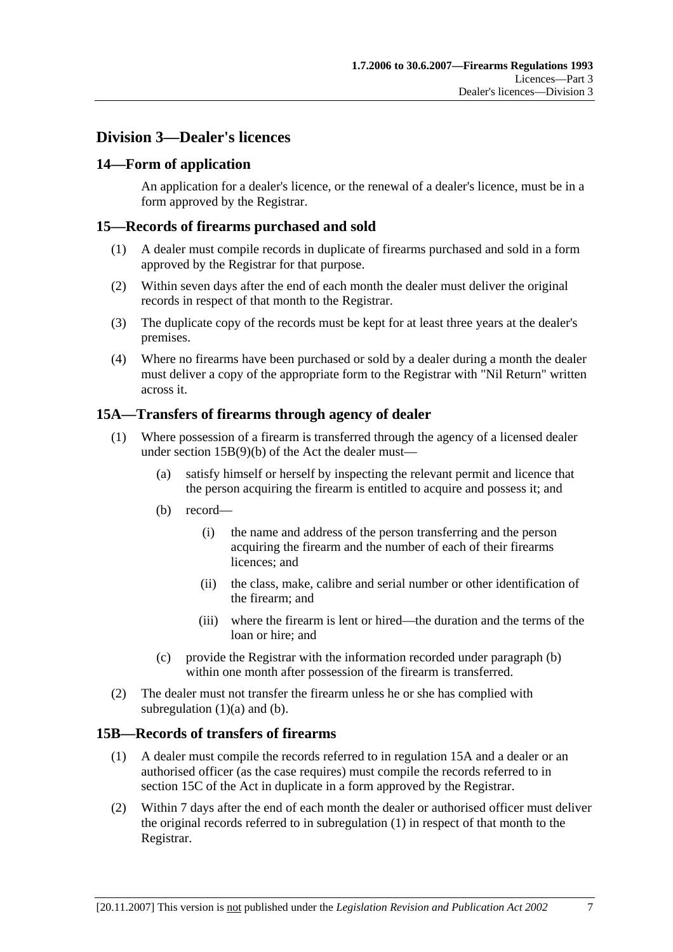# **Division 3—Dealer's licences**

### **14—Form of application**

An application for a dealer's licence, or the renewal of a dealer's licence, must be in a form approved by the Registrar.

#### **15—Records of firearms purchased and sold**

- (1) A dealer must compile records in duplicate of firearms purchased and sold in a form approved by the Registrar for that purpose.
- (2) Within seven days after the end of each month the dealer must deliver the original records in respect of that month to the Registrar.
- (3) The duplicate copy of the records must be kept for at least three years at the dealer's premises.
- (4) Where no firearms have been purchased or sold by a dealer during a month the dealer must deliver a copy of the appropriate form to the Registrar with "Nil Return" written across it.

## **15A—Transfers of firearms through agency of dealer**

- (1) Where possession of a firearm is transferred through the agency of a licensed dealer under section 15B(9)(b) of the Act the dealer must—
	- (a) satisfy himself or herself by inspecting the relevant permit and licence that the person acquiring the firearm is entitled to acquire and possess it; and
	- (b) record—
		- (i) the name and address of the person transferring and the person acquiring the firearm and the number of each of their firearms licences; and
		- (ii) the class, make, calibre and serial number or other identification of the firearm; and
		- (iii) where the firearm is lent or hired—the duration and the terms of the loan or hire; and
	- (c) provide the Registrar with the information recorded under paragraph (b) within one month after possession of the firearm is transferred.
- (2) The dealer must not transfer the firearm unless he or she has complied with subregulation  $(1)(a)$  and  $(b)$ .

#### **15B—Records of transfers of firearms**

- (1) A dealer must compile the records referred to in regulation 15A and a dealer or an authorised officer (as the case requires) must compile the records referred to in section 15C of the Act in duplicate in a form approved by the Registrar.
- (2) Within 7 days after the end of each month the dealer or authorised officer must deliver the original records referred to in subregulation (1) in respect of that month to the Registrar.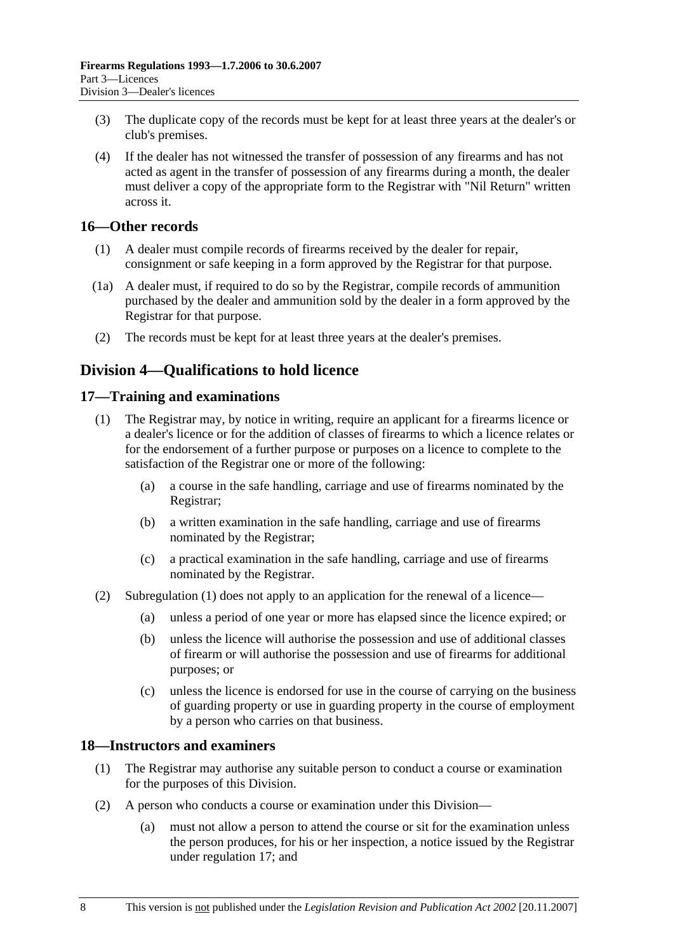- (3) The duplicate copy of the records must be kept for at least three years at the dealer's or club's premises.
- (4) If the dealer has not witnessed the transfer of possession of any firearms and has not acted as agent in the transfer of possession of any firearms during a month, the dealer must deliver a copy of the appropriate form to the Registrar with "Nil Return" written across it.

#### **16—Other records**

- (1) A dealer must compile records of firearms received by the dealer for repair, consignment or safe keeping in a form approved by the Registrar for that purpose.
- (1a) A dealer must, if required to do so by the Registrar, compile records of ammunition purchased by the dealer and ammunition sold by the dealer in a form approved by the Registrar for that purpose.
- (2) The records must be kept for at least three years at the dealer's premises.

# **Division 4—Qualifications to hold licence**

#### **17—Training and examinations**

- (1) The Registrar may, by notice in writing, require an applicant for a firearms licence or a dealer's licence or for the addition of classes of firearms to which a licence relates or for the endorsement of a further purpose or purposes on a licence to complete to the satisfaction of the Registrar one or more of the following:
	- (a) a course in the safe handling, carriage and use of firearms nominated by the Registrar;
	- (b) a written examination in the safe handling, carriage and use of firearms nominated by the Registrar;
	- (c) a practical examination in the safe handling, carriage and use of firearms nominated by the Registrar.
- (2) Subregulation (1) does not apply to an application for the renewal of a licence—
	- (a) unless a period of one year or more has elapsed since the licence expired; or
	- (b) unless the licence will authorise the possession and use of additional classes of firearm or will authorise the possession and use of firearms for additional purposes; or
	- (c) unless the licence is endorsed for use in the course of carrying on the business of guarding property or use in guarding property in the course of employment by a person who carries on that business.

#### **18—Instructors and examiners**

- (1) The Registrar may authorise any suitable person to conduct a course or examination for the purposes of this Division.
- (2) A person who conducts a course or examination under this Division—
	- (a) must not allow a person to attend the course or sit for the examination unless the person produces, for his or her inspection, a notice issued by the Registrar under regulation 17; and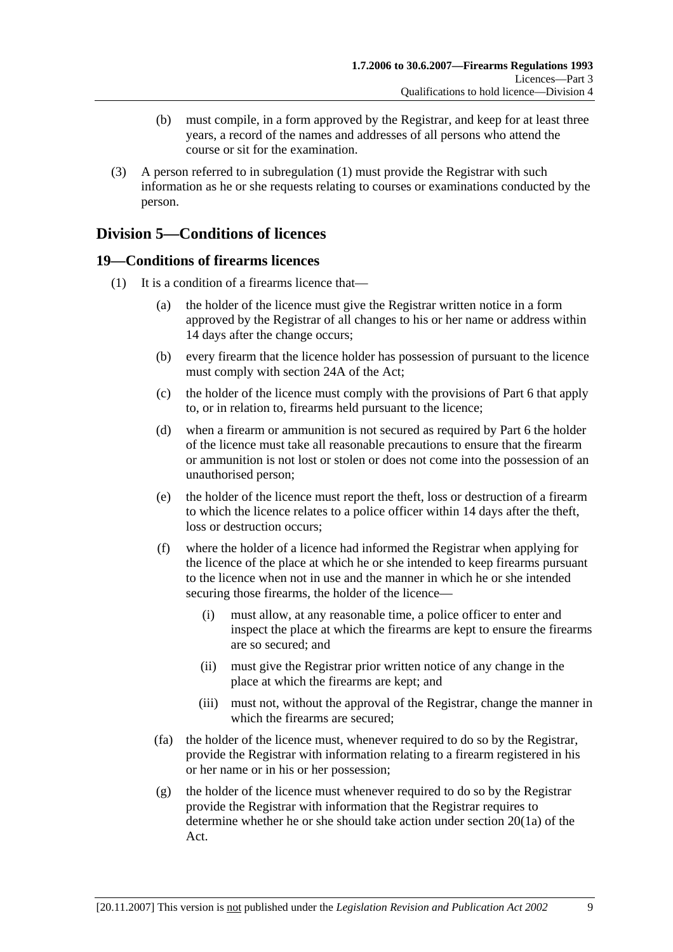- (b) must compile, in a form approved by the Registrar, and keep for at least three years, a record of the names and addresses of all persons who attend the course or sit for the examination.
- (3) A person referred to in subregulation (1) must provide the Registrar with such information as he or she requests relating to courses or examinations conducted by the person.

# **Division 5—Conditions of licences**

## **19—Conditions of firearms licences**

- (1) It is a condition of a firearms licence that—
	- (a) the holder of the licence must give the Registrar written notice in a form approved by the Registrar of all changes to his or her name or address within 14 days after the change occurs;
	- (b) every firearm that the licence holder has possession of pursuant to the licence must comply with section 24A of the Act;
	- (c) the holder of the licence must comply with the provisions of Part 6 that apply to, or in relation to, firearms held pursuant to the licence;
	- (d) when a firearm or ammunition is not secured as required by Part 6 the holder of the licence must take all reasonable precautions to ensure that the firearm or ammunition is not lost or stolen or does not come into the possession of an unauthorised person;
	- (e) the holder of the licence must report the theft, loss or destruction of a firearm to which the licence relates to a police officer within 14 days after the theft, loss or destruction occurs;
	- (f) where the holder of a licence had informed the Registrar when applying for the licence of the place at which he or she intended to keep firearms pursuant to the licence when not in use and the manner in which he or she intended securing those firearms, the holder of the licence—
		- (i) must allow, at any reasonable time, a police officer to enter and inspect the place at which the firearms are kept to ensure the firearms are so secured; and
		- (ii) must give the Registrar prior written notice of any change in the place at which the firearms are kept; and
		- (iii) must not, without the approval of the Registrar, change the manner in which the firearms are secured;
	- (fa) the holder of the licence must, whenever required to do so by the Registrar, provide the Registrar with information relating to a firearm registered in his or her name or in his or her possession;
	- (g) the holder of the licence must whenever required to do so by the Registrar provide the Registrar with information that the Registrar requires to determine whether he or she should take action under section 20(1a) of the Act.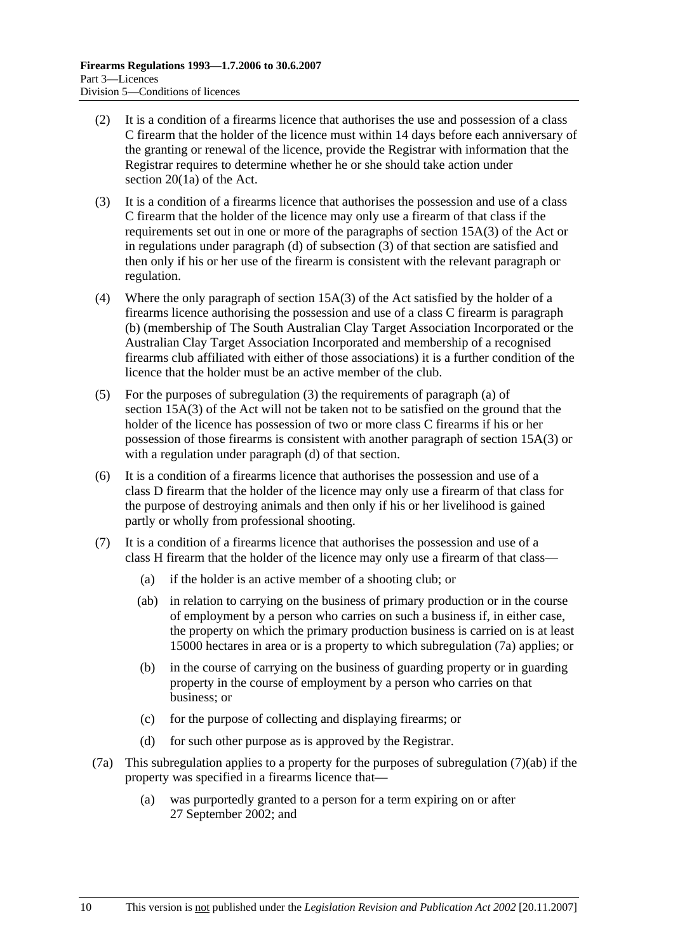- (2) It is a condition of a firearms licence that authorises the use and possession of a class C firearm that the holder of the licence must within 14 days before each anniversary of the granting or renewal of the licence, provide the Registrar with information that the Registrar requires to determine whether he or she should take action under section 20(1a) of the Act.
- (3) It is a condition of a firearms licence that authorises the possession and use of a class C firearm that the holder of the licence may only use a firearm of that class if the requirements set out in one or more of the paragraphs of section 15A(3) of the Act or in regulations under paragraph (d) of subsection (3) of that section are satisfied and then only if his or her use of the firearm is consistent with the relevant paragraph or regulation.
- (4) Where the only paragraph of section 15A(3) of the Act satisfied by the holder of a firearms licence authorising the possession and use of a class C firearm is paragraph (b) (membership of The South Australian Clay Target Association Incorporated or the Australian Clay Target Association Incorporated and membership of a recognised firearms club affiliated with either of those associations) it is a further condition of the licence that the holder must be an active member of the club.
- (5) For the purposes of subregulation (3) the requirements of paragraph (a) of section 15A(3) of the Act will not be taken not to be satisfied on the ground that the holder of the licence has possession of two or more class C firearms if his or her possession of those firearms is consistent with another paragraph of section 15A(3) or with a regulation under paragraph (d) of that section.
- (6) It is a condition of a firearms licence that authorises the possession and use of a class D firearm that the holder of the licence may only use a firearm of that class for the purpose of destroying animals and then only if his or her livelihood is gained partly or wholly from professional shooting.
- (7) It is a condition of a firearms licence that authorises the possession and use of a class H firearm that the holder of the licence may only use a firearm of that class—
	- (a) if the holder is an active member of a shooting club; or
	- (ab) in relation to carrying on the business of primary production or in the course of employment by a person who carries on such a business if, in either case, the property on which the primary production business is carried on is at least 15000 hectares in area or is a property to which subregulation (7a) applies; or
	- (b) in the course of carrying on the business of guarding property or in guarding property in the course of employment by a person who carries on that business; or
	- (c) for the purpose of collecting and displaying firearms; or
	- (d) for such other purpose as is approved by the Registrar.
- (7a) This subregulation applies to a property for the purposes of subregulation (7)(ab) if the property was specified in a firearms licence that—
	- (a) was purportedly granted to a person for a term expiring on or after 27 September 2002; and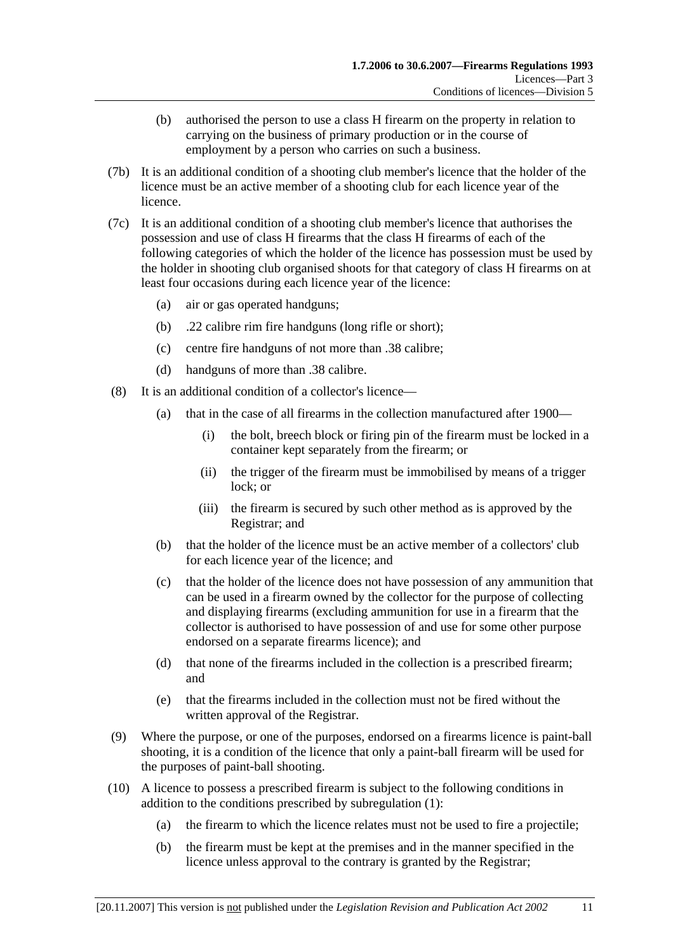- (b) authorised the person to use a class H firearm on the property in relation to carrying on the business of primary production or in the course of employment by a person who carries on such a business.
- (7b) It is an additional condition of a shooting club member's licence that the holder of the licence must be an active member of a shooting club for each licence year of the licence.
- (7c) It is an additional condition of a shooting club member's licence that authorises the possession and use of class H firearms that the class H firearms of each of the following categories of which the holder of the licence has possession must be used by the holder in shooting club organised shoots for that category of class H firearms on at least four occasions during each licence year of the licence:
	- (a) air or gas operated handguns;
	- (b) .22 calibre rim fire handguns (long rifle or short);
	- (c) centre fire handguns of not more than .38 calibre;
	- (d) handguns of more than .38 calibre.
- (8) It is an additional condition of a collector's licence—
	- (a) that in the case of all firearms in the collection manufactured after 1900—
		- (i) the bolt, breech block or firing pin of the firearm must be locked in a container kept separately from the firearm; or
		- (ii) the trigger of the firearm must be immobilised by means of a trigger lock; or
		- (iii) the firearm is secured by such other method as is approved by the Registrar; and
	- (b) that the holder of the licence must be an active member of a collectors' club for each licence year of the licence; and
	- (c) that the holder of the licence does not have possession of any ammunition that can be used in a firearm owned by the collector for the purpose of collecting and displaying firearms (excluding ammunition for use in a firearm that the collector is authorised to have possession of and use for some other purpose endorsed on a separate firearms licence); and
	- (d) that none of the firearms included in the collection is a prescribed firearm; and
	- (e) that the firearms included in the collection must not be fired without the written approval of the Registrar.
- (9) Where the purpose, or one of the purposes, endorsed on a firearms licence is paint-ball shooting, it is a condition of the licence that only a paint-ball firearm will be used for the purposes of paint-ball shooting.
- (10) A licence to possess a prescribed firearm is subject to the following conditions in addition to the conditions prescribed by subregulation (1):
	- (a) the firearm to which the licence relates must not be used to fire a projectile;
	- (b) the firearm must be kept at the premises and in the manner specified in the licence unless approval to the contrary is granted by the Registrar;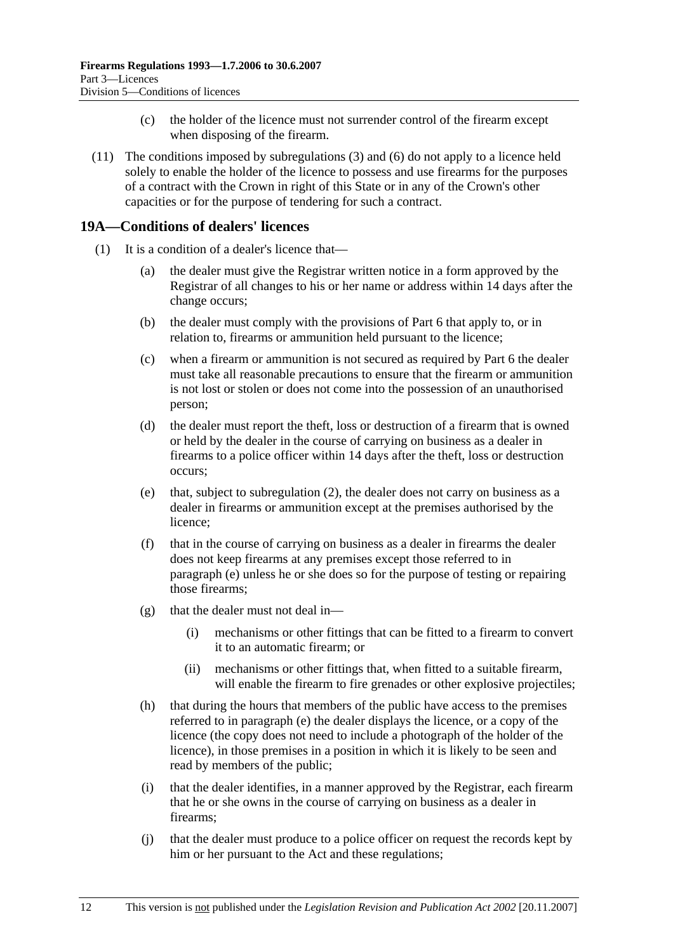- (c) the holder of the licence must not surrender control of the firearm except when disposing of the firearm.
- (11) The conditions imposed by subregulations (3) and (6) do not apply to a licence held solely to enable the holder of the licence to possess and use firearms for the purposes of a contract with the Crown in right of this State or in any of the Crown's other capacities or for the purpose of tendering for such a contract.

## **19A—Conditions of dealers' licences**

- (1) It is a condition of a dealer's licence that—
	- (a) the dealer must give the Registrar written notice in a form approved by the Registrar of all changes to his or her name or address within 14 days after the change occurs;
	- (b) the dealer must comply with the provisions of Part 6 that apply to, or in relation to, firearms or ammunition held pursuant to the licence;
	- (c) when a firearm or ammunition is not secured as required by Part 6 the dealer must take all reasonable precautions to ensure that the firearm or ammunition is not lost or stolen or does not come into the possession of an unauthorised person;
	- (d) the dealer must report the theft, loss or destruction of a firearm that is owned or held by the dealer in the course of carrying on business as a dealer in firearms to a police officer within 14 days after the theft, loss or destruction occurs;
	- (e) that, subject to subregulation (2), the dealer does not carry on business as a dealer in firearms or ammunition except at the premises authorised by the licence;
	- (f) that in the course of carrying on business as a dealer in firearms the dealer does not keep firearms at any premises except those referred to in paragraph (e) unless he or she does so for the purpose of testing or repairing those firearms;
	- (g) that the dealer must not deal in—
		- (i) mechanisms or other fittings that can be fitted to a firearm to convert it to an automatic firearm; or
		- (ii) mechanisms or other fittings that, when fitted to a suitable firearm, will enable the firearm to fire grenades or other explosive projectiles;
	- (h) that during the hours that members of the public have access to the premises referred to in paragraph (e) the dealer displays the licence, or a copy of the licence (the copy does not need to include a photograph of the holder of the licence), in those premises in a position in which it is likely to be seen and read by members of the public;
	- (i) that the dealer identifies, in a manner approved by the Registrar, each firearm that he or she owns in the course of carrying on business as a dealer in firearms;
	- (j) that the dealer must produce to a police officer on request the records kept by him or her pursuant to the Act and these regulations;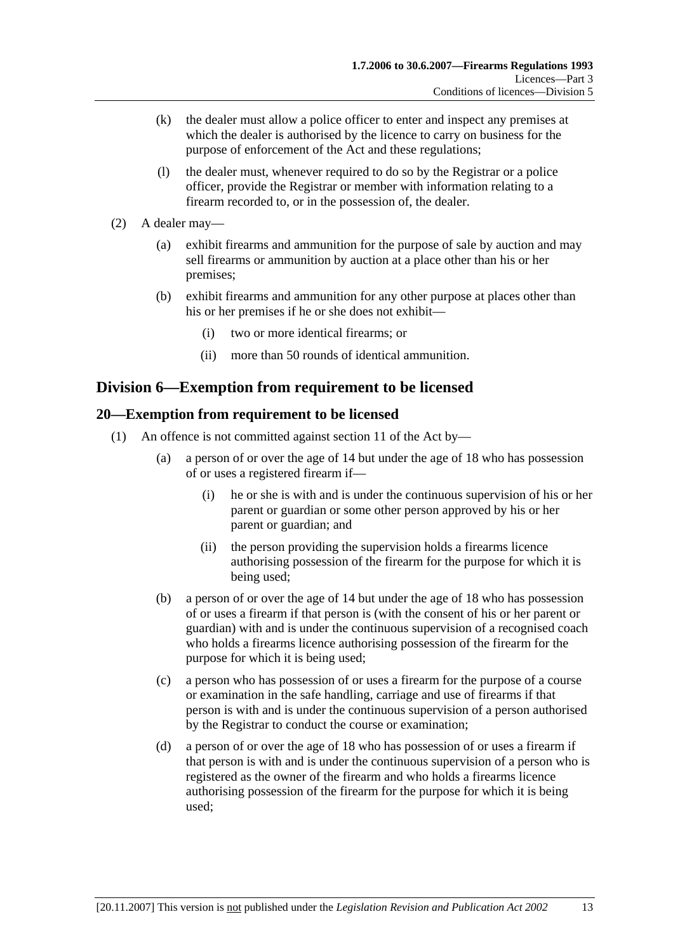- (k) the dealer must allow a police officer to enter and inspect any premises at which the dealer is authorised by the licence to carry on business for the purpose of enforcement of the Act and these regulations;
- (l) the dealer must, whenever required to do so by the Registrar or a police officer, provide the Registrar or member with information relating to a firearm recorded to, or in the possession of, the dealer.
- (2) A dealer may—
	- (a) exhibit firearms and ammunition for the purpose of sale by auction and may sell firearms or ammunition by auction at a place other than his or her premises;
	- (b) exhibit firearms and ammunition for any other purpose at places other than his or her premises if he or she does not exhibit—
		- (i) two or more identical firearms; or
		- (ii) more than 50 rounds of identical ammunition.

# **Division 6—Exemption from requirement to be licensed**

## **20—Exemption from requirement to be licensed**

- (1) An offence is not committed against section 11 of the Act by—
	- (a) a person of or over the age of 14 but under the age of 18 who has possession of or uses a registered firearm if—
		- (i) he or she is with and is under the continuous supervision of his or her parent or guardian or some other person approved by his or her parent or guardian; and
		- (ii) the person providing the supervision holds a firearms licence authorising possession of the firearm for the purpose for which it is being used;
	- (b) a person of or over the age of 14 but under the age of 18 who has possession of or uses a firearm if that person is (with the consent of his or her parent or guardian) with and is under the continuous supervision of a recognised coach who holds a firearms licence authorising possession of the firearm for the purpose for which it is being used;
	- (c) a person who has possession of or uses a firearm for the purpose of a course or examination in the safe handling, carriage and use of firearms if that person is with and is under the continuous supervision of a person authorised by the Registrar to conduct the course or examination;
	- (d) a person of or over the age of 18 who has possession of or uses a firearm if that person is with and is under the continuous supervision of a person who is registered as the owner of the firearm and who holds a firearms licence authorising possession of the firearm for the purpose for which it is being used;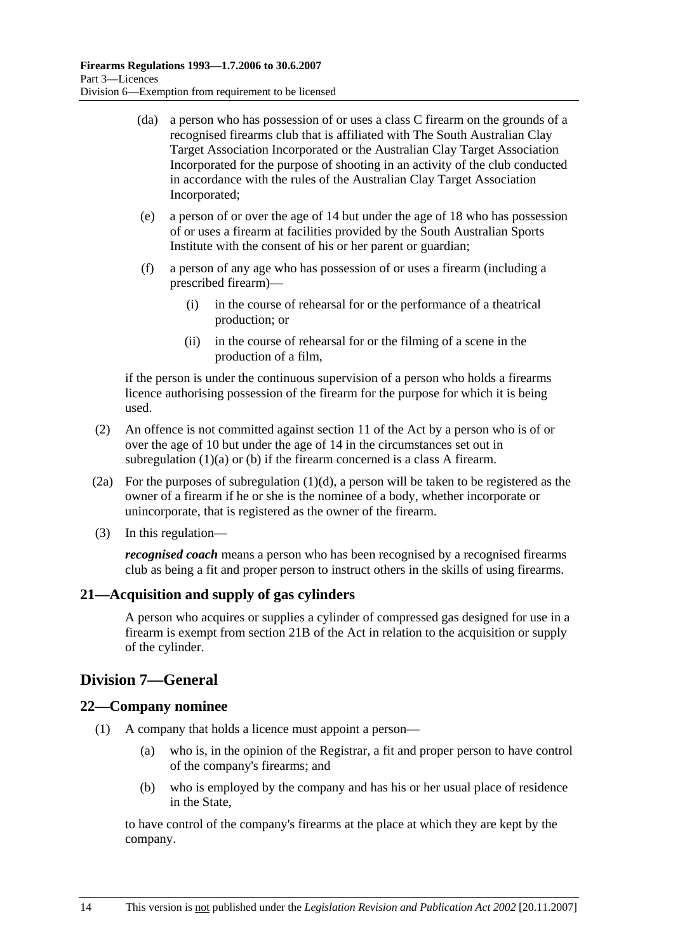- (da) a person who has possession of or uses a class C firearm on the grounds of a recognised firearms club that is affiliated with The South Australian Clay Target Association Incorporated or the Australian Clay Target Association Incorporated for the purpose of shooting in an activity of the club conducted in accordance with the rules of the Australian Clay Target Association Incorporated;
- (e) a person of or over the age of 14 but under the age of 18 who has possession of or uses a firearm at facilities provided by the South Australian Sports Institute with the consent of his or her parent or guardian;
- (f) a person of any age who has possession of or uses a firearm (including a prescribed firearm)—
	- (i) in the course of rehearsal for or the performance of a theatrical production; or
	- (ii) in the course of rehearsal for or the filming of a scene in the production of a film,

if the person is under the continuous supervision of a person who holds a firearms licence authorising possession of the firearm for the purpose for which it is being used.

- (2) An offence is not committed against section 11 of the Act by a person who is of or over the age of 10 but under the age of 14 in the circumstances set out in subregulation  $(1)(a)$  or  $(b)$  if the firearm concerned is a class A firearm.
- (2a) For the purposes of subregulation (1)(d), a person will be taken to be registered as the owner of a firearm if he or she is the nominee of a body, whether incorporate or unincorporate, that is registered as the owner of the firearm.
- (3) In this regulation—

*recognised coach* means a person who has been recognised by a recognised firearms club as being a fit and proper person to instruct others in the skills of using firearms.

# **21—Acquisition and supply of gas cylinders**

A person who acquires or supplies a cylinder of compressed gas designed for use in a firearm is exempt from section 21B of the Act in relation to the acquisition or supply of the cylinder.

# **Division 7—General**

#### **22—Company nominee**

- (1) A company that holds a licence must appoint a person—
	- (a) who is, in the opinion of the Registrar, a fit and proper person to have control of the company's firearms; and
	- (b) who is employed by the company and has his or her usual place of residence in the State,

to have control of the company's firearms at the place at which they are kept by the company.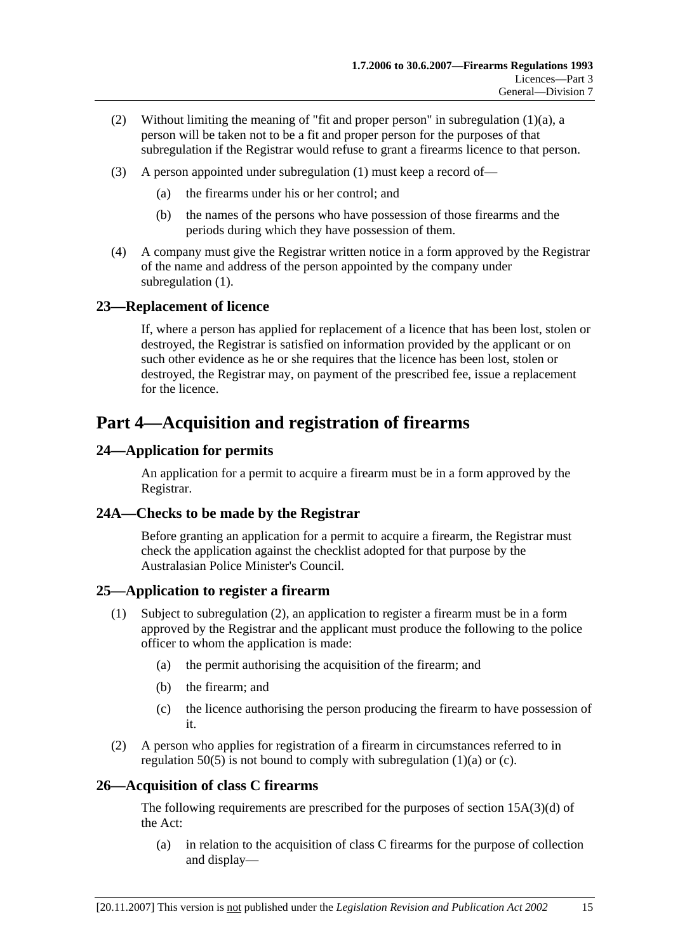- (2) Without limiting the meaning of "fit and proper person" in subregulation (1)(a), a person will be taken not to be a fit and proper person for the purposes of that subregulation if the Registrar would refuse to grant a firearms licence to that person.
- (3) A person appointed under subregulation (1) must keep a record of—
	- (a) the firearms under his or her control; and
	- (b) the names of the persons who have possession of those firearms and the periods during which they have possession of them.
- (4) A company must give the Registrar written notice in a form approved by the Registrar of the name and address of the person appointed by the company under subregulation (1).

## **23—Replacement of licence**

If, where a person has applied for replacement of a licence that has been lost, stolen or destroyed, the Registrar is satisfied on information provided by the applicant or on such other evidence as he or she requires that the licence has been lost, stolen or destroyed, the Registrar may, on payment of the prescribed fee, issue a replacement for the licence.

# **Part 4—Acquisition and registration of firearms**

## **24—Application for permits**

An application for a permit to acquire a firearm must be in a form approved by the Registrar.

#### **24A—Checks to be made by the Registrar**

Before granting an application for a permit to acquire a firearm, the Registrar must check the application against the checklist adopted for that purpose by the Australasian Police Minister's Council.

#### **25—Application to register a firearm**

- (1) Subject to subregulation (2), an application to register a firearm must be in a form approved by the Registrar and the applicant must produce the following to the police officer to whom the application is made:
	- (a) the permit authorising the acquisition of the firearm; and
	- (b) the firearm; and
	- (c) the licence authorising the person producing the firearm to have possession of it.
- (2) A person who applies for registration of a firearm in circumstances referred to in regulation  $50(5)$  is not bound to comply with subregulation (1)(a) or (c).

#### **26—Acquisition of class C firearms**

The following requirements are prescribed for the purposes of section 15A(3)(d) of the Act:

 (a) in relation to the acquisition of class C firearms for the purpose of collection and display—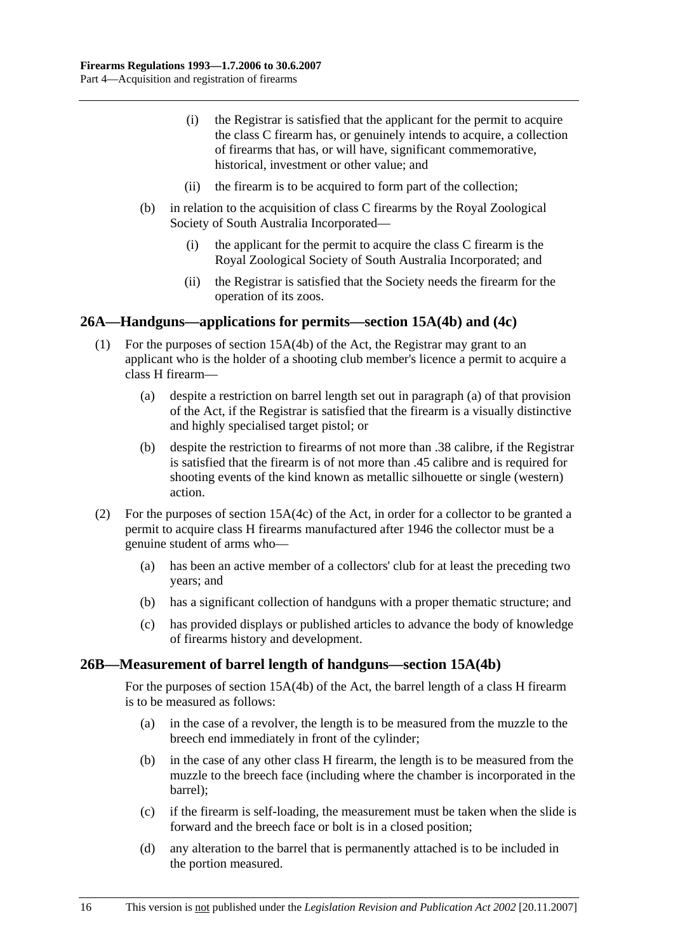- (i) the Registrar is satisfied that the applicant for the permit to acquire the class C firearm has, or genuinely intends to acquire, a collection of firearms that has, or will have, significant commemorative, historical, investment or other value; and
- (ii) the firearm is to be acquired to form part of the collection;
- (b) in relation to the acquisition of class C firearms by the Royal Zoological Society of South Australia Incorporated—
	- (i) the applicant for the permit to acquire the class C firearm is the Royal Zoological Society of South Australia Incorporated; and
	- (ii) the Registrar is satisfied that the Society needs the firearm for the operation of its zoos.

#### **26A—Handguns—applications for permits—section 15A(4b) and (4c)**

- (1) For the purposes of section 15A(4b) of the Act, the Registrar may grant to an applicant who is the holder of a shooting club member's licence a permit to acquire a class H firearm—
	- (a) despite a restriction on barrel length set out in paragraph (a) of that provision of the Act, if the Registrar is satisfied that the firearm is a visually distinctive and highly specialised target pistol; or
	- (b) despite the restriction to firearms of not more than .38 calibre, if the Registrar is satisfied that the firearm is of not more than .45 calibre and is required for shooting events of the kind known as metallic silhouette or single (western) action.
- (2) For the purposes of section 15A(4c) of the Act, in order for a collector to be granted a permit to acquire class H firearms manufactured after 1946 the collector must be a genuine student of arms who—
	- (a) has been an active member of a collectors' club for at least the preceding two years; and
	- (b) has a significant collection of handguns with a proper thematic structure; and
	- (c) has provided displays or published articles to advance the body of knowledge of firearms history and development.

#### **26B—Measurement of barrel length of handguns—section 15A(4b)**

For the purposes of section 15A(4b) of the Act, the barrel length of a class H firearm is to be measured as follows:

- (a) in the case of a revolver, the length is to be measured from the muzzle to the breech end immediately in front of the cylinder;
- (b) in the case of any other class H firearm, the length is to be measured from the muzzle to the breech face (including where the chamber is incorporated in the barrel);
- (c) if the firearm is self-loading, the measurement must be taken when the slide is forward and the breech face or bolt is in a closed position;
- (d) any alteration to the barrel that is permanently attached is to be included in the portion measured.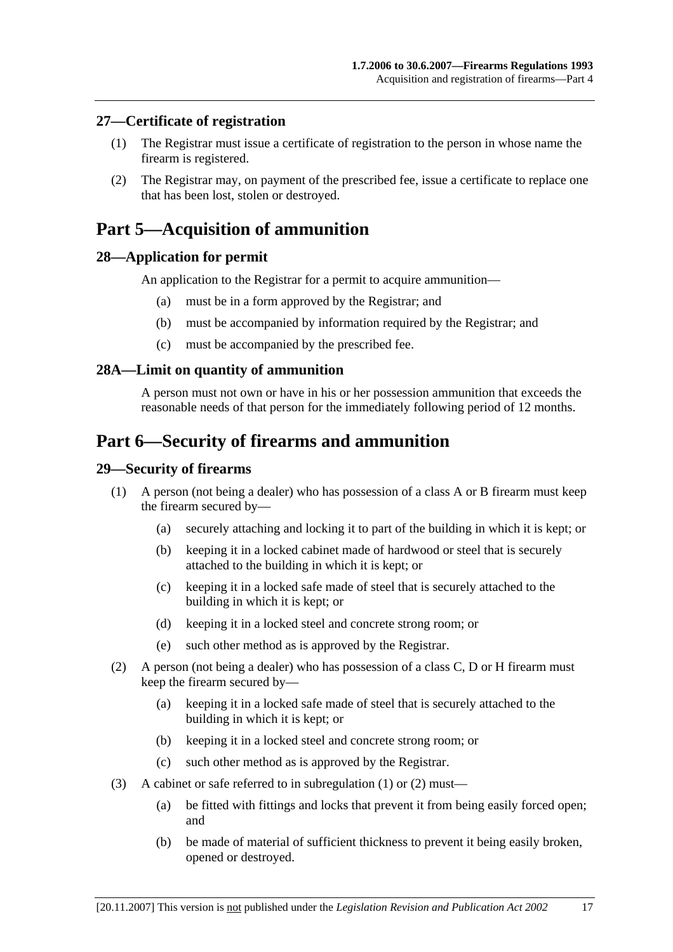#### **27—Certificate of registration**

- (1) The Registrar must issue a certificate of registration to the person in whose name the firearm is registered.
- (2) The Registrar may, on payment of the prescribed fee, issue a certificate to replace one that has been lost, stolen or destroyed.

# **Part 5—Acquisition of ammunition**

#### **28—Application for permit**

An application to the Registrar for a permit to acquire ammunition—

- (a) must be in a form approved by the Registrar; and
- (b) must be accompanied by information required by the Registrar; and
- (c) must be accompanied by the prescribed fee.

#### **28A—Limit on quantity of ammunition**

A person must not own or have in his or her possession ammunition that exceeds the reasonable needs of that person for the immediately following period of 12 months.

# **Part 6—Security of firearms and ammunition**

#### **29—Security of firearms**

- (1) A person (not being a dealer) who has possession of a class A or B firearm must keep the firearm secured by—
	- (a) securely attaching and locking it to part of the building in which it is kept; or
	- (b) keeping it in a locked cabinet made of hardwood or steel that is securely attached to the building in which it is kept; or
	- (c) keeping it in a locked safe made of steel that is securely attached to the building in which it is kept; or
	- (d) keeping it in a locked steel and concrete strong room; or
	- (e) such other method as is approved by the Registrar.
- (2) A person (not being a dealer) who has possession of a class C, D or H firearm must keep the firearm secured by—
	- (a) keeping it in a locked safe made of steel that is securely attached to the building in which it is kept; or
	- (b) keeping it in a locked steel and concrete strong room; or
	- (c) such other method as is approved by the Registrar.
- (3) A cabinet or safe referred to in subregulation (1) or (2) must—
	- (a) be fitted with fittings and locks that prevent it from being easily forced open; and
	- (b) be made of material of sufficient thickness to prevent it being easily broken, opened or destroyed.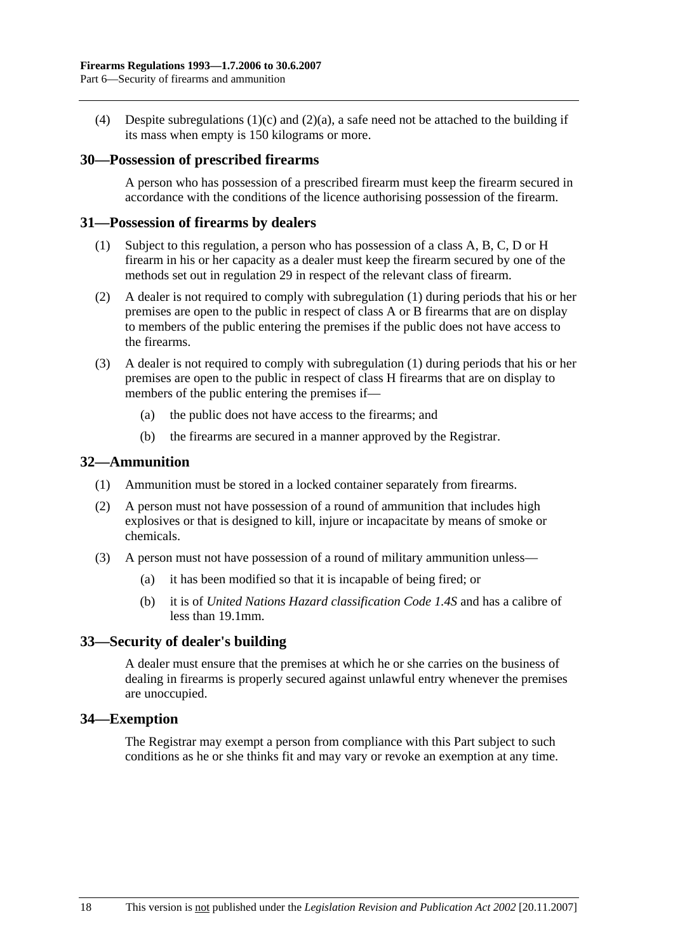(4) Despite subregulations (1)(c) and (2)(a), a safe need not be attached to the building if its mass when empty is 150 kilograms or more.

#### **30—Possession of prescribed firearms**

A person who has possession of a prescribed firearm must keep the firearm secured in accordance with the conditions of the licence authorising possession of the firearm.

#### **31—Possession of firearms by dealers**

- (1) Subject to this regulation, a person who has possession of a class A, B, C, D or H firearm in his or her capacity as a dealer must keep the firearm secured by one of the methods set out in regulation 29 in respect of the relevant class of firearm.
- (2) A dealer is not required to comply with subregulation (1) during periods that his or her premises are open to the public in respect of class A or B firearms that are on display to members of the public entering the premises if the public does not have access to the firearms.
- (3) A dealer is not required to comply with subregulation (1) during periods that his or her premises are open to the public in respect of class H firearms that are on display to members of the public entering the premises if—
	- (a) the public does not have access to the firearms; and
	- (b) the firearms are secured in a manner approved by the Registrar.

#### **32—Ammunition**

- (1) Ammunition must be stored in a locked container separately from firearms.
- (2) A person must not have possession of a round of ammunition that includes high explosives or that is designed to kill, injure or incapacitate by means of smoke or chemicals.
- (3) A person must not have possession of a round of military ammunition unless—
	- (a) it has been modified so that it is incapable of being fired; or
	- (b) it is of *United Nations Hazard classification Code 1.4S* and has a calibre of less than 19.1mm.

#### **33—Security of dealer's building**

A dealer must ensure that the premises at which he or she carries on the business of dealing in firearms is properly secured against unlawful entry whenever the premises are unoccupied.

#### **34—Exemption**

The Registrar may exempt a person from compliance with this Part subject to such conditions as he or she thinks fit and may vary or revoke an exemption at any time.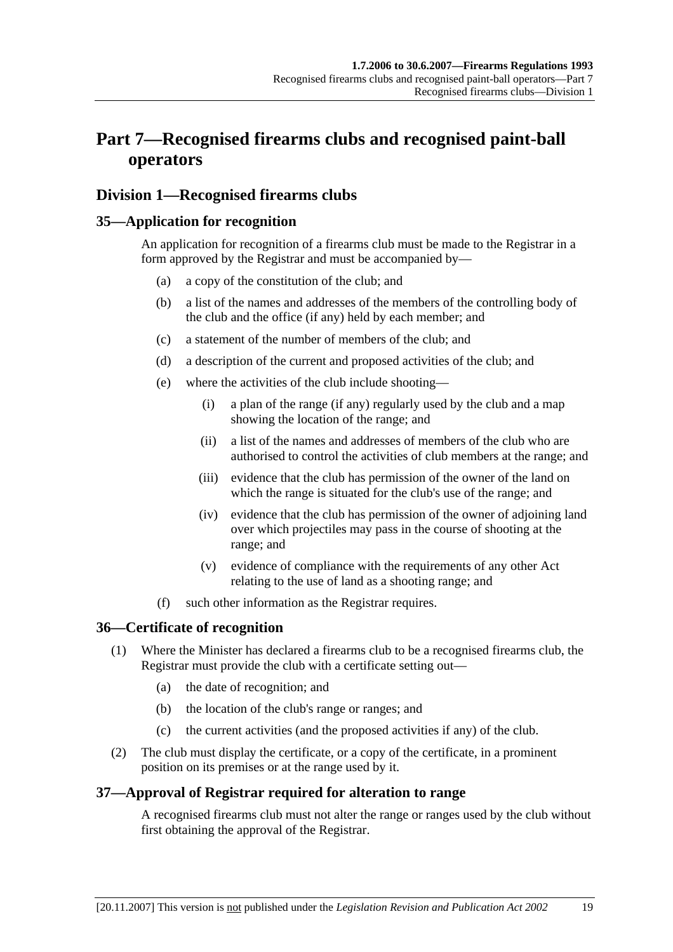# **Part 7—Recognised firearms clubs and recognised paint-ball operators**

# **Division 1—Recognised firearms clubs**

## **35—Application for recognition**

An application for recognition of a firearms club must be made to the Registrar in a form approved by the Registrar and must be accompanied by—

- (a) a copy of the constitution of the club; and
- (b) a list of the names and addresses of the members of the controlling body of the club and the office (if any) held by each member; and
- (c) a statement of the number of members of the club; and
- (d) a description of the current and proposed activities of the club; and
- (e) where the activities of the club include shooting—
	- (i) a plan of the range (if any) regularly used by the club and a map showing the location of the range; and
	- (ii) a list of the names and addresses of members of the club who are authorised to control the activities of club members at the range; and
	- (iii) evidence that the club has permission of the owner of the land on which the range is situated for the club's use of the range; and
	- (iv) evidence that the club has permission of the owner of adjoining land over which projectiles may pass in the course of shooting at the range; and
	- (v) evidence of compliance with the requirements of any other Act relating to the use of land as a shooting range; and
- (f) such other information as the Registrar requires.

#### **36—Certificate of recognition**

- (1) Where the Minister has declared a firearms club to be a recognised firearms club, the Registrar must provide the club with a certificate setting out—
	- (a) the date of recognition; and
	- (b) the location of the club's range or ranges; and
	- (c) the current activities (and the proposed activities if any) of the club.
- (2) The club must display the certificate, or a copy of the certificate, in a prominent position on its premises or at the range used by it.

# **37—Approval of Registrar required for alteration to range**

A recognised firearms club must not alter the range or ranges used by the club without first obtaining the approval of the Registrar.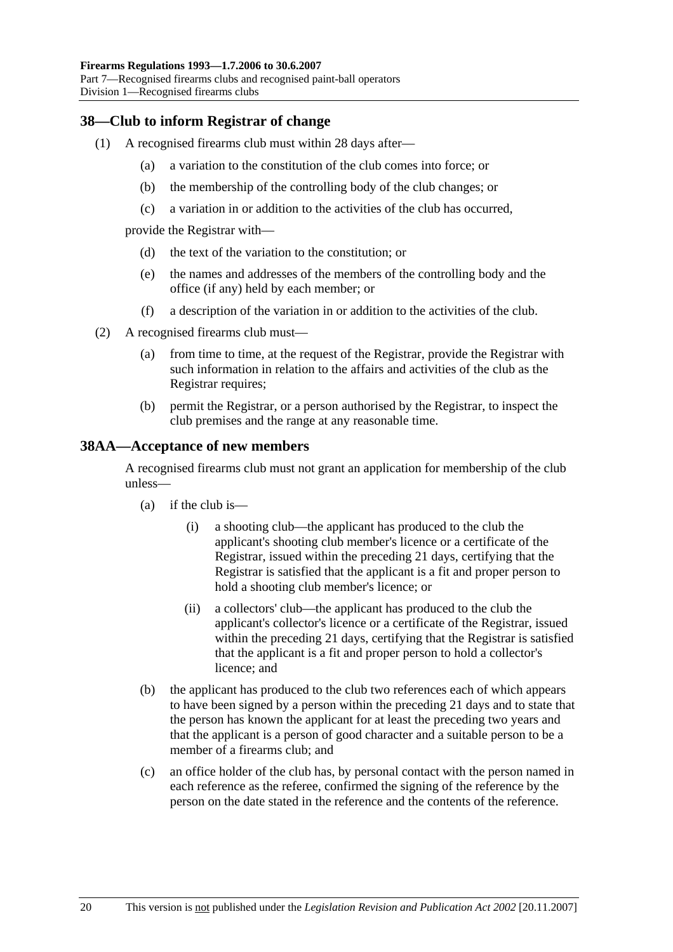#### **38—Club to inform Registrar of change**

- (1) A recognised firearms club must within 28 days after—
	- (a) a variation to the constitution of the club comes into force; or
	- (b) the membership of the controlling body of the club changes; or
	- (c) a variation in or addition to the activities of the club has occurred,

provide the Registrar with—

- (d) the text of the variation to the constitution; or
- (e) the names and addresses of the members of the controlling body and the office (if any) held by each member; or
- (f) a description of the variation in or addition to the activities of the club.
- (2) A recognised firearms club must—
	- (a) from time to time, at the request of the Registrar, provide the Registrar with such information in relation to the affairs and activities of the club as the Registrar requires;
	- (b) permit the Registrar, or a person authorised by the Registrar, to inspect the club premises and the range at any reasonable time.

#### **38AA—Acceptance of new members**

A recognised firearms club must not grant an application for membership of the club unless—

- $(a)$  if the club is—
	- (i) a shooting club—the applicant has produced to the club the applicant's shooting club member's licence or a certificate of the Registrar, issued within the preceding 21 days, certifying that the Registrar is satisfied that the applicant is a fit and proper person to hold a shooting club member's licence; or
	- (ii) a collectors' club—the applicant has produced to the club the applicant's collector's licence or a certificate of the Registrar, issued within the preceding 21 days, certifying that the Registrar is satisfied that the applicant is a fit and proper person to hold a collector's licence; and
- (b) the applicant has produced to the club two references each of which appears to have been signed by a person within the preceding 21 days and to state that the person has known the applicant for at least the preceding two years and that the applicant is a person of good character and a suitable person to be a member of a firearms club; and
- (c) an office holder of the club has, by personal contact with the person named in each reference as the referee, confirmed the signing of the reference by the person on the date stated in the reference and the contents of the reference.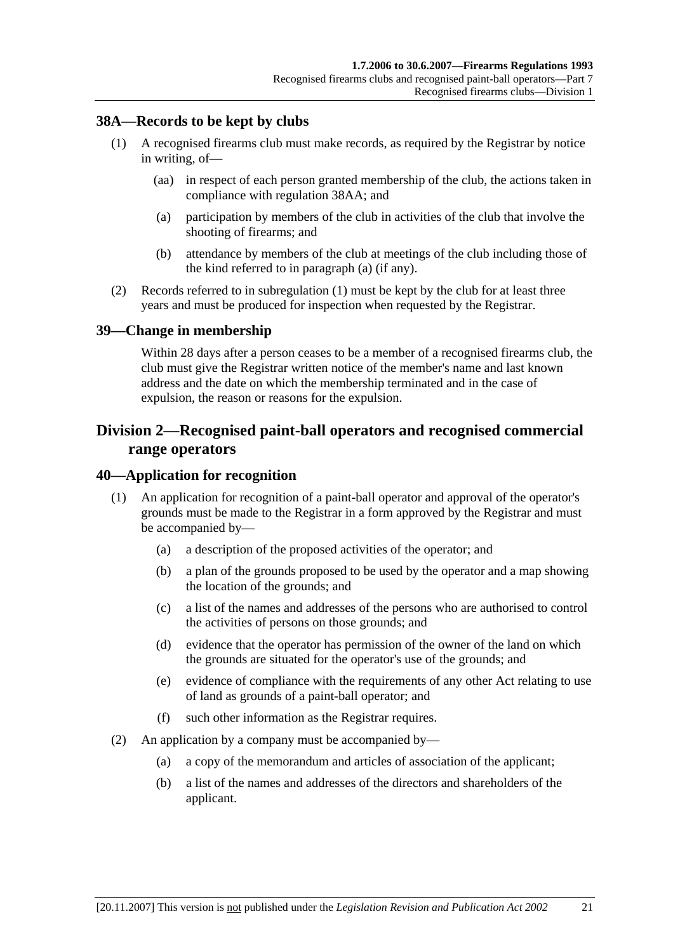#### **38A—Records to be kept by clubs**

- (1) A recognised firearms club must make records, as required by the Registrar by notice in writing, of—
	- (aa) in respect of each person granted membership of the club, the actions taken in compliance with regulation 38AA; and
	- (a) participation by members of the club in activities of the club that involve the shooting of firearms; and
	- (b) attendance by members of the club at meetings of the club including those of the kind referred to in paragraph (a) (if any).
- (2) Records referred to in subregulation (1) must be kept by the club for at least three years and must be produced for inspection when requested by the Registrar.

#### **39—Change in membership**

Within 28 days after a person ceases to be a member of a recognised firearms club, the club must give the Registrar written notice of the member's name and last known address and the date on which the membership terminated and in the case of expulsion, the reason or reasons for the expulsion.

# **Division 2—Recognised paint-ball operators and recognised commercial range operators**

#### **40—Application for recognition**

- (1) An application for recognition of a paint-ball operator and approval of the operator's grounds must be made to the Registrar in a form approved by the Registrar and must be accompanied by—
	- (a) a description of the proposed activities of the operator; and
	- (b) a plan of the grounds proposed to be used by the operator and a map showing the location of the grounds; and
	- (c) a list of the names and addresses of the persons who are authorised to control the activities of persons on those grounds; and
	- (d) evidence that the operator has permission of the owner of the land on which the grounds are situated for the operator's use of the grounds; and
	- (e) evidence of compliance with the requirements of any other Act relating to use of land as grounds of a paint-ball operator; and
	- (f) such other information as the Registrar requires.
- (2) An application by a company must be accompanied by—
	- (a) a copy of the memorandum and articles of association of the applicant;
	- (b) a list of the names and addresses of the directors and shareholders of the applicant.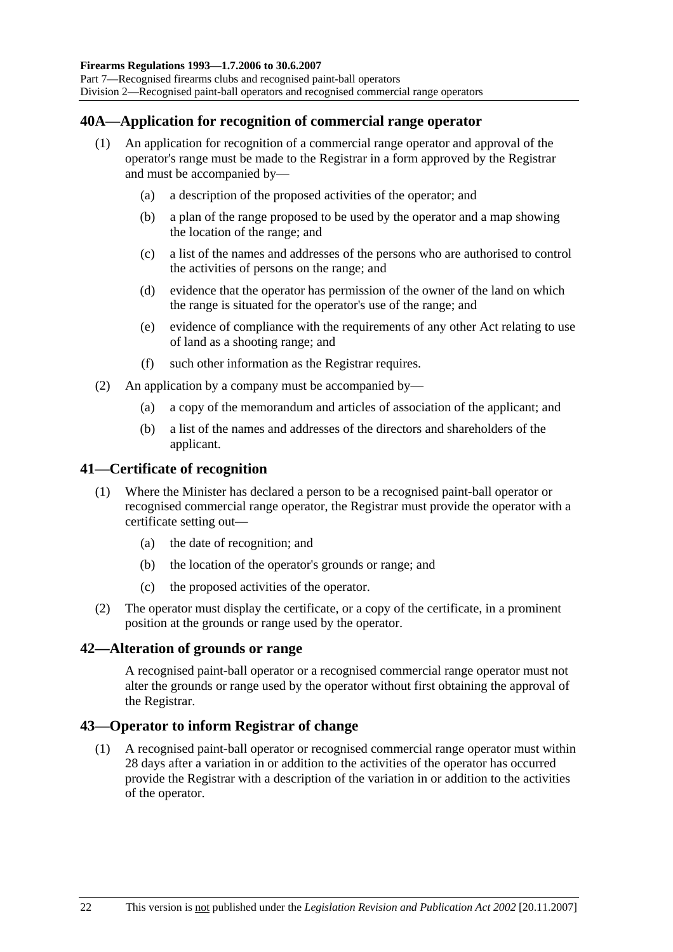### **40A—Application for recognition of commercial range operator**

- (1) An application for recognition of a commercial range operator and approval of the operator's range must be made to the Registrar in a form approved by the Registrar and must be accompanied by—
	- (a) a description of the proposed activities of the operator; and
	- (b) a plan of the range proposed to be used by the operator and a map showing the location of the range; and
	- (c) a list of the names and addresses of the persons who are authorised to control the activities of persons on the range; and
	- (d) evidence that the operator has permission of the owner of the land on which the range is situated for the operator's use of the range; and
	- (e) evidence of compliance with the requirements of any other Act relating to use of land as a shooting range; and
	- (f) such other information as the Registrar requires.
- (2) An application by a company must be accompanied by—
	- (a) a copy of the memorandum and articles of association of the applicant; and
	- (b) a list of the names and addresses of the directors and shareholders of the applicant.

#### **41—Certificate of recognition**

- (1) Where the Minister has declared a person to be a recognised paint-ball operator or recognised commercial range operator, the Registrar must provide the operator with a certificate setting out—
	- (a) the date of recognition; and
	- (b) the location of the operator's grounds or range; and
	- (c) the proposed activities of the operator.
- (2) The operator must display the certificate, or a copy of the certificate, in a prominent position at the grounds or range used by the operator.

#### **42—Alteration of grounds or range**

A recognised paint-ball operator or a recognised commercial range operator must not alter the grounds or range used by the operator without first obtaining the approval of the Registrar.

#### **43—Operator to inform Registrar of change**

 (1) A recognised paint-ball operator or recognised commercial range operator must within 28 days after a variation in or addition to the activities of the operator has occurred provide the Registrar with a description of the variation in or addition to the activities of the operator.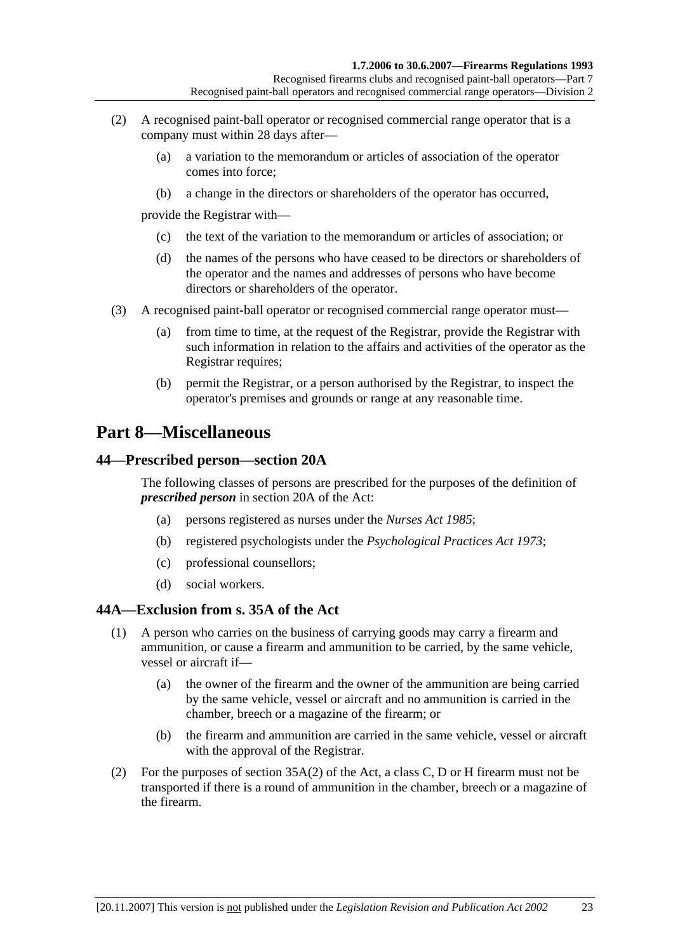- (2) A recognised paint-ball operator or recognised commercial range operator that is a company must within 28 days after—
	- (a) a variation to the memorandum or articles of association of the operator comes into force;
	- (b) a change in the directors or shareholders of the operator has occurred,

provide the Registrar with—

- (c) the text of the variation to the memorandum or articles of association; or
- (d) the names of the persons who have ceased to be directors or shareholders of the operator and the names and addresses of persons who have become directors or shareholders of the operator.
- (3) A recognised paint-ball operator or recognised commercial range operator must—
	- (a) from time to time, at the request of the Registrar, provide the Registrar with such information in relation to the affairs and activities of the operator as the Registrar requires;
	- (b) permit the Registrar, or a person authorised by the Registrar, to inspect the operator's premises and grounds or range at any reasonable time.

# **Part 8—Miscellaneous**

#### **44—Prescribed person—section 20A**

The following classes of persons are prescribed for the purposes of the definition of *prescribed person* in section 20A of the Act:

- (a) persons registered as nurses under the *Nurses Act 1985*;
- (b) registered psychologists under the *Psychological Practices Act 1973*;
- (c) professional counsellors;
- (d) social workers.

#### **44A—Exclusion from s. 35A of the Act**

- (1) A person who carries on the business of carrying goods may carry a firearm and ammunition, or cause a firearm and ammunition to be carried, by the same vehicle, vessel or aircraft if—
	- (a) the owner of the firearm and the owner of the ammunition are being carried by the same vehicle, vessel or aircraft and no ammunition is carried in the chamber, breech or a magazine of the firearm; or
	- (b) the firearm and ammunition are carried in the same vehicle, vessel or aircraft with the approval of the Registrar.
- (2) For the purposes of section 35A(2) of the Act, a class C, D or H firearm must not be transported if there is a round of ammunition in the chamber, breech or a magazine of the firearm.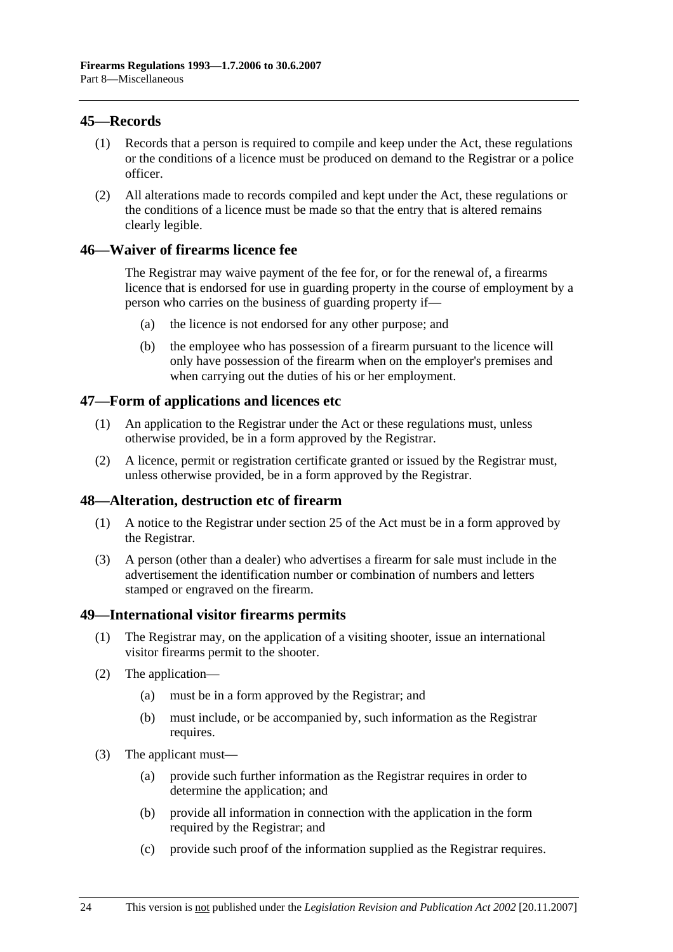### **45—Records**

- (1) Records that a person is required to compile and keep under the Act, these regulations or the conditions of a licence must be produced on demand to the Registrar or a police officer.
- (2) All alterations made to records compiled and kept under the Act, these regulations or the conditions of a licence must be made so that the entry that is altered remains clearly legible.

## **46—Waiver of firearms licence fee**

The Registrar may waive payment of the fee for, or for the renewal of, a firearms licence that is endorsed for use in guarding property in the course of employment by a person who carries on the business of guarding property if—

- (a) the licence is not endorsed for any other purpose; and
- (b) the employee who has possession of a firearm pursuant to the licence will only have possession of the firearm when on the employer's premises and when carrying out the duties of his or her employment.

#### **47—Form of applications and licences etc**

- (1) An application to the Registrar under the Act or these regulations must, unless otherwise provided, be in a form approved by the Registrar.
- (2) A licence, permit or registration certificate granted or issued by the Registrar must, unless otherwise provided, be in a form approved by the Registrar.

#### **48—Alteration, destruction etc of firearm**

- (1) A notice to the Registrar under section 25 of the Act must be in a form approved by the Registrar.
- (3) A person (other than a dealer) who advertises a firearm for sale must include in the advertisement the identification number or combination of numbers and letters stamped or engraved on the firearm.

#### **49—International visitor firearms permits**

- (1) The Registrar may, on the application of a visiting shooter, issue an international visitor firearms permit to the shooter.
- (2) The application—
	- (a) must be in a form approved by the Registrar; and
	- (b) must include, or be accompanied by, such information as the Registrar requires.
- (3) The applicant must—
	- (a) provide such further information as the Registrar requires in order to determine the application; and
	- (b) provide all information in connection with the application in the form required by the Registrar; and
	- (c) provide such proof of the information supplied as the Registrar requires.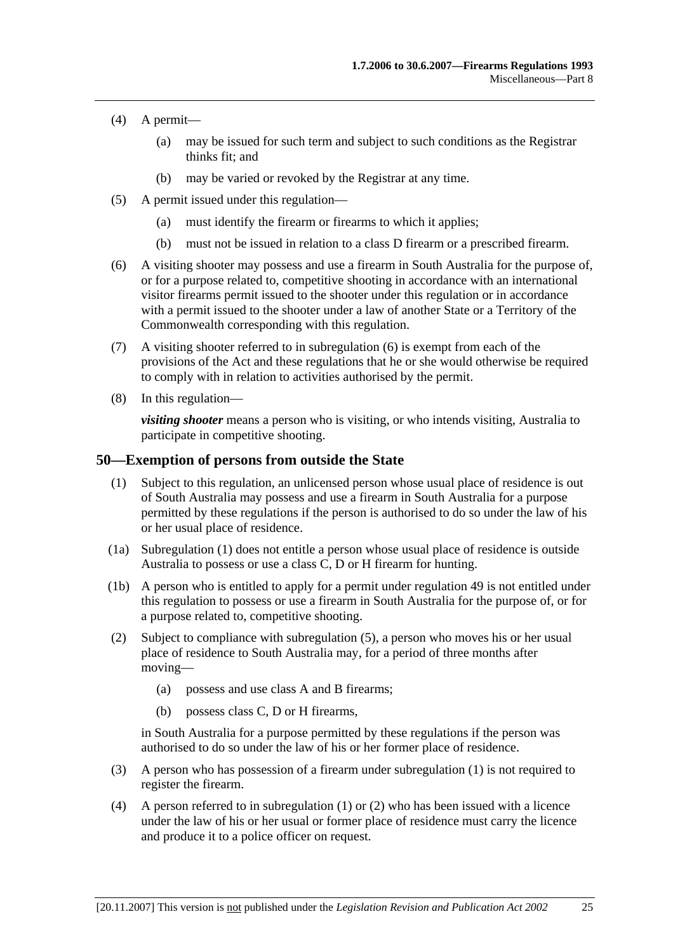- (4) A permit—
	- (a) may be issued for such term and subject to such conditions as the Registrar thinks fit; and
	- (b) may be varied or revoked by the Registrar at any time.
- (5) A permit issued under this regulation—
	- (a) must identify the firearm or firearms to which it applies;
	- (b) must not be issued in relation to a class D firearm or a prescribed firearm.
- (6) A visiting shooter may possess and use a firearm in South Australia for the purpose of, or for a purpose related to, competitive shooting in accordance with an international visitor firearms permit issued to the shooter under this regulation or in accordance with a permit issued to the shooter under a law of another State or a Territory of the Commonwealth corresponding with this regulation.
- (7) A visiting shooter referred to in subregulation (6) is exempt from each of the provisions of the Act and these regulations that he or she would otherwise be required to comply with in relation to activities authorised by the permit.
- (8) In this regulation—

*visiting shooter* means a person who is visiting, or who intends visiting, Australia to participate in competitive shooting.

#### **50—Exemption of persons from outside the State**

- (1) Subject to this regulation, an unlicensed person whose usual place of residence is out of South Australia may possess and use a firearm in South Australia for a purpose permitted by these regulations if the person is authorised to do so under the law of his or her usual place of residence.
- (1a) Subregulation (1) does not entitle a person whose usual place of residence is outside Australia to possess or use a class C, D or H firearm for hunting.
- (1b) A person who is entitled to apply for a permit under regulation 49 is not entitled under this regulation to possess or use a firearm in South Australia for the purpose of, or for a purpose related to, competitive shooting.
- (2) Subject to compliance with subregulation (5), a person who moves his or her usual place of residence to South Australia may, for a period of three months after moving—
	- (a) possess and use class A and B firearms;
	- (b) possess class C, D or H firearms,

in South Australia for a purpose permitted by these regulations if the person was authorised to do so under the law of his or her former place of residence.

- (3) A person who has possession of a firearm under subregulation (1) is not required to register the firearm.
- (4) A person referred to in subregulation (1) or (2) who has been issued with a licence under the law of his or her usual or former place of residence must carry the licence and produce it to a police officer on request.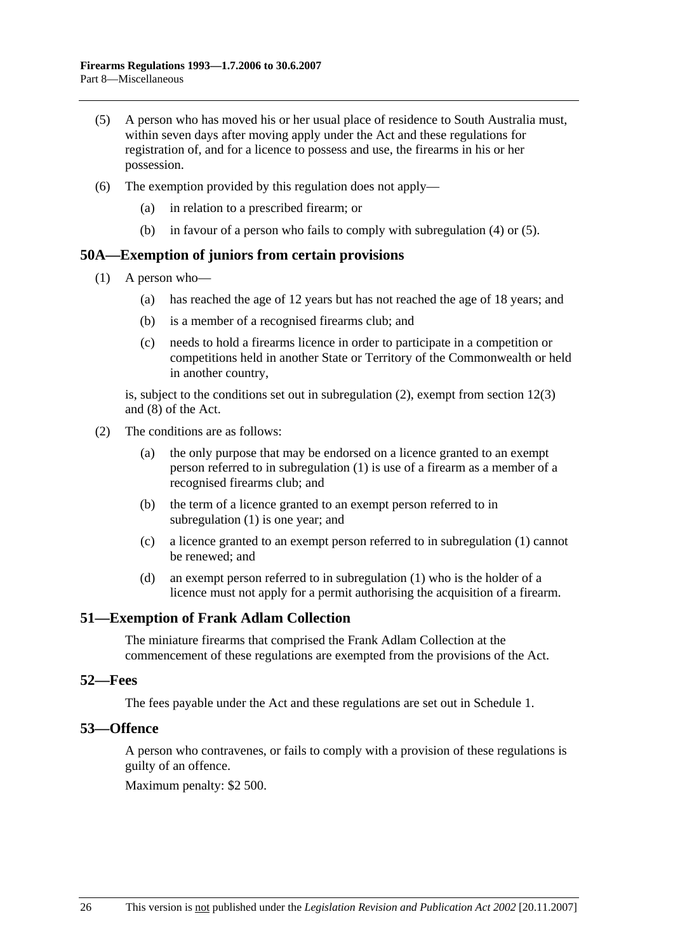- (5) A person who has moved his or her usual place of residence to South Australia must, within seven days after moving apply under the Act and these regulations for registration of, and for a licence to possess and use, the firearms in his or her possession.
- (6) The exemption provided by this regulation does not apply—
	- (a) in relation to a prescribed firearm; or
	- (b) in favour of a person who fails to comply with subregulation (4) or (5).

#### **50A—Exemption of juniors from certain provisions**

- (1) A person who—
	- (a) has reached the age of 12 years but has not reached the age of 18 years; and
	- (b) is a member of a recognised firearms club; and
	- (c) needs to hold a firearms licence in order to participate in a competition or competitions held in another State or Territory of the Commonwealth or held in another country,

is, subject to the conditions set out in subregulation (2), exempt from section 12(3) and (8) of the Act.

- (2) The conditions are as follows:
	- (a) the only purpose that may be endorsed on a licence granted to an exempt person referred to in subregulation (1) is use of a firearm as a member of a recognised firearms club; and
	- (b) the term of a licence granted to an exempt person referred to in subregulation (1) is one year; and
	- (c) a licence granted to an exempt person referred to in subregulation (1) cannot be renewed; and
	- (d) an exempt person referred to in subregulation (1) who is the holder of a licence must not apply for a permit authorising the acquisition of a firearm.

#### **51—Exemption of Frank Adlam Collection**

The miniature firearms that comprised the Frank Adlam Collection at the commencement of these regulations are exempted from the provisions of the Act.

#### **52—Fees**

The fees payable under the Act and these regulations are set out in Schedule 1.

#### **53—Offence**

A person who contravenes, or fails to comply with a provision of these regulations is guilty of an offence.

Maximum penalty: \$2 500.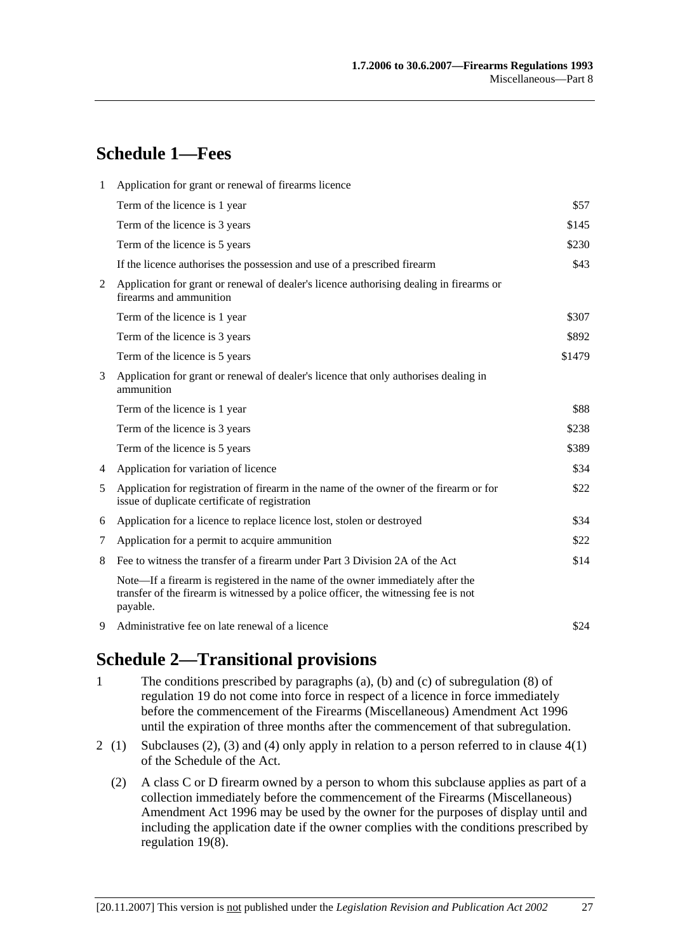# **Schedule 1—Fees**

| 1              | Application for grant or renewal of firearms licence                                                                                                                              |        |  |  |
|----------------|-----------------------------------------------------------------------------------------------------------------------------------------------------------------------------------|--------|--|--|
|                | Term of the licence is 1 year                                                                                                                                                     | \$57   |  |  |
|                | Term of the licence is 3 years                                                                                                                                                    | \$145  |  |  |
|                | Term of the licence is 5 years                                                                                                                                                    | \$230  |  |  |
|                | If the licence authorises the possession and use of a prescribed firearm                                                                                                          | \$43   |  |  |
| 2              | Application for grant or renewal of dealer's licence authorising dealing in firearms or<br>firearms and ammunition                                                                |        |  |  |
|                | Term of the licence is 1 year                                                                                                                                                     | \$307  |  |  |
|                | Term of the licence is 3 years                                                                                                                                                    | \$892  |  |  |
|                | Term of the licence is 5 years                                                                                                                                                    | \$1479 |  |  |
| 3              | Application for grant or renewal of dealer's licence that only authorises dealing in<br>ammunition                                                                                |        |  |  |
|                | Term of the licence is 1 year                                                                                                                                                     | \$88   |  |  |
|                | Term of the licence is 3 years                                                                                                                                                    | \$238  |  |  |
|                | Term of the licence is 5 years                                                                                                                                                    | \$389  |  |  |
| $\overline{4}$ | Application for variation of licence                                                                                                                                              | \$34   |  |  |
| 5              | Application for registration of firearm in the name of the owner of the firearm or for<br>issue of duplicate certificate of registration                                          | \$22   |  |  |
| 6              | Application for a licence to replace licence lost, stolen or destroyed                                                                                                            | \$34   |  |  |
| 7              | Application for a permit to acquire ammunition                                                                                                                                    | \$22   |  |  |
| 8              | Fee to witness the transfer of a firearm under Part 3 Division 2A of the Act                                                                                                      | \$14   |  |  |
|                | Note—If a firearm is registered in the name of the owner immediately after the<br>transfer of the firearm is witnessed by a police officer, the witnessing fee is not<br>payable. |        |  |  |
| 9              | Administrative fee on late renewal of a licence                                                                                                                                   | \$24   |  |  |

# **Schedule 2—Transitional provisions**

- 1 The conditions prescribed by paragraphs (a), (b) and (c) of subregulation (8) of regulation 19 do not come into force in respect of a licence in force immediately before the commencement of the Firearms (Miscellaneous) Amendment Act 1996 until the expiration of three months after the commencement of that subregulation.
- 2 (1) Subclauses (2), (3) and (4) only apply in relation to a person referred to in clause  $4(1)$ of the Schedule of the Act.
	- (2) A class C or D firearm owned by a person to whom this subclause applies as part of a collection immediately before the commencement of the Firearms (Miscellaneous) Amendment Act 1996 may be used by the owner for the purposes of display until and including the application date if the owner complies with the conditions prescribed by regulation 19(8).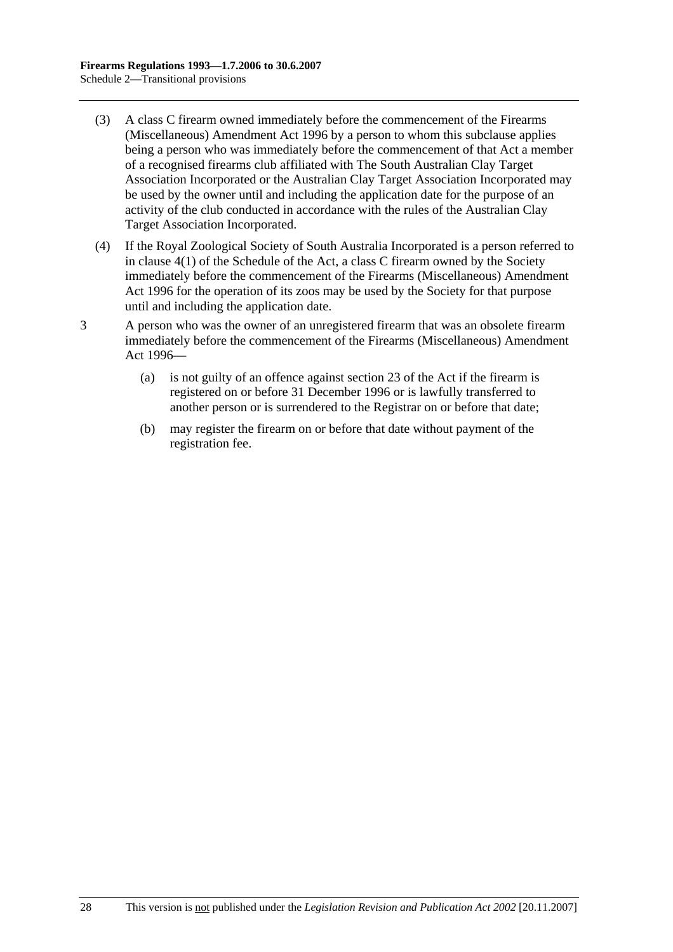- (3) A class C firearm owned immediately before the commencement of the Firearms (Miscellaneous) Amendment Act 1996 by a person to whom this subclause applies being a person who was immediately before the commencement of that Act a member of a recognised firearms club affiliated with The South Australian Clay Target Association Incorporated or the Australian Clay Target Association Incorporated may be used by the owner until and including the application date for the purpose of an activity of the club conducted in accordance with the rules of the Australian Clay Target Association Incorporated.
- (4) If the Royal Zoological Society of South Australia Incorporated is a person referred to in clause 4(1) of the Schedule of the Act, a class C firearm owned by the Society immediately before the commencement of the Firearms (Miscellaneous) Amendment Act 1996 for the operation of its zoos may be used by the Society for that purpose until and including the application date.
- 3 A person who was the owner of an unregistered firearm that was an obsolete firearm immediately before the commencement of the Firearms (Miscellaneous) Amendment Act 1996—
	- (a) is not guilty of an offence against section 23 of the Act if the firearm is registered on or before 31 December 1996 or is lawfully transferred to another person or is surrendered to the Registrar on or before that date;
	- (b) may register the firearm on or before that date without payment of the registration fee.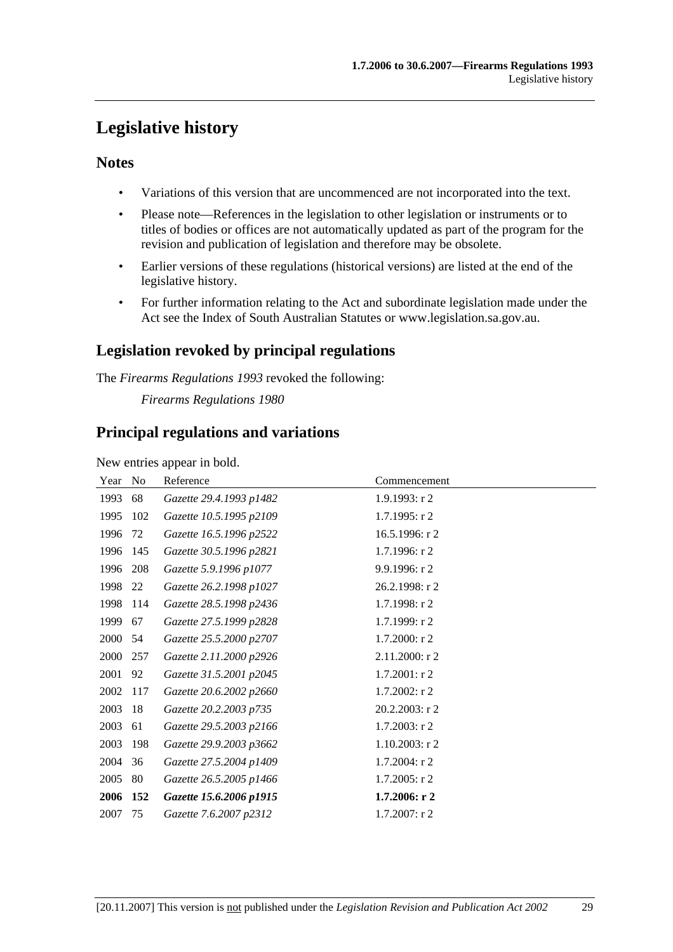# **Legislative history**

#### **Notes**

- Variations of this version that are uncommenced are not incorporated into the text.
- Please note—References in the legislation to other legislation or instruments or to titles of bodies or offices are not automatically updated as part of the program for the revision and publication of legislation and therefore may be obsolete.
- Earlier versions of these regulations (historical versions) are listed at the end of the legislative history.
- For further information relating to the Act and subordinate legislation made under the Act see the Index of South Australian Statutes or www.legislation.sa.gov.au.

# **Legislation revoked by principal regulations**

The *Firearms Regulations 1993* revoked the following:

*Firearms Regulations 1980*

# **Principal regulations and variations**

New entries appear in bold.

| Year | N <sub>0</sub> | Reference               | Commencement      |
|------|----------------|-------------------------|-------------------|
| 1993 | 68             | Gazette 29.4.1993 p1482 | 1.9.1993: r2      |
| 1995 | 102            | Gazette 10.5.1995 p2109 | $1.7.1995:$ r 2   |
| 1996 | 72             | Gazette 16.5.1996 p2522 | 16.5.1996: r2     |
| 1996 | 145            | Gazette 30.5.1996 p2821 | 1.7.1996: r 2     |
| 1996 | 208            | Gazette 5.9.1996 p1077  | 9.9.1996: r2      |
| 1998 | 22             | Gazette 26.2.1998 p1027 | 26.2.1998: r 2    |
| 1998 | 114            | Gazette 28.5.1998 p2436 | 1.7.1998: r 2     |
| 1999 | 67             | Gazette 27.5.1999 p2828 | 1.7.1999: r2      |
| 2000 | 54             | Gazette 25.5.2000 p2707 | $1.7.2000:$ r 2   |
| 2000 | 257            | Gazette 2.11.2000 p2926 | 2.11.2000: r 2    |
| 2001 | 92             | Gazette 31.5.2001 p2045 | $1.7.2001:$ r 2   |
| 2002 | 117            | Gazette 20.6.2002 p2660 | $1.7.2002:$ r 2   |
| 2003 | 18             | Gazette 20.2.2003 p735  | 20.2.2003: r 2    |
| 2003 | 61             | Gazette 29.5.2003 p2166 | $1.7.2003$ : r 2  |
| 2003 | 198            | Gazette 29.9.2003 p3662 | $1.10.2003$ : r 2 |
| 2004 | 36             | Gazette 27.5.2004 p1409 | 1.7.2004: r 2     |
| 2005 | 80             | Gazette 26.5.2005 p1466 | $1.7.2005:$ r 2   |
| 2006 | 152            | Gazette 15.6.2006 p1915 | 1.7.2006: r2      |
| 2007 | 75             | Gazette 7.6.2007 p2312  | 1.7.2007: r 2     |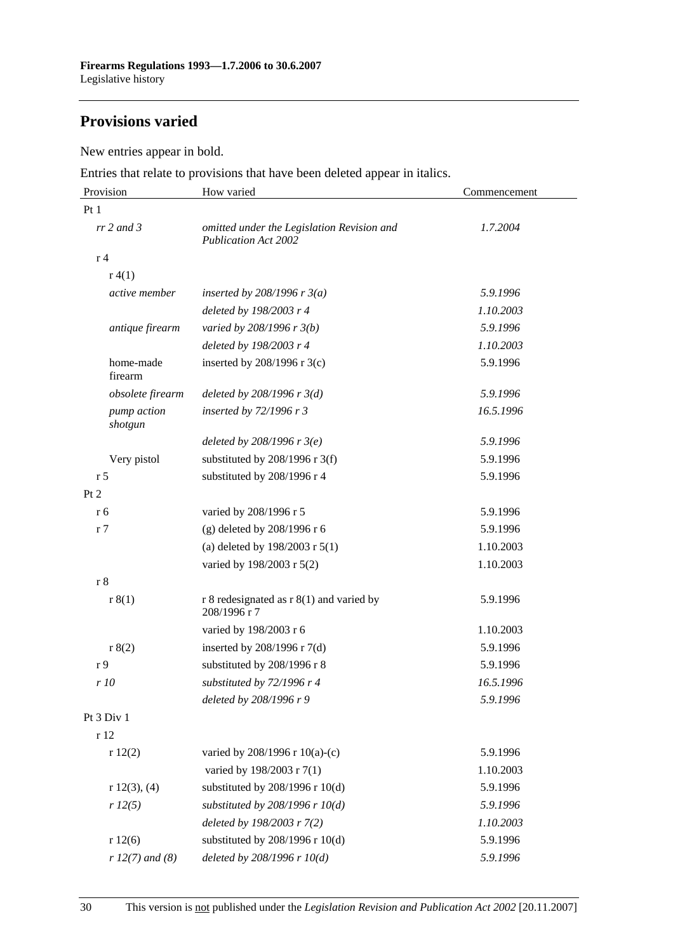# **Provisions varied**

New entries appear in bold.

Entries that relate to provisions that have been deleted appear in italics.

| Provision              | How varied                                                                | Commencement |  |
|------------------------|---------------------------------------------------------------------------|--------------|--|
| Pt1                    |                                                                           |              |  |
| $rr$ 2 and 3           | omitted under the Legislation Revision and<br><b>Publication Act 2002</b> | 1.7.2004     |  |
| r <sub>4</sub>         |                                                                           |              |  |
| r(4(1))                |                                                                           |              |  |
| active member          | inserted by 208/1996 r $3(a)$                                             | 5.9.1996     |  |
|                        | deleted by 198/2003 r 4                                                   | 1.10.2003    |  |
| antique firearm        | varied by 208/1996 r 3(b)                                                 | 5.9.1996     |  |
|                        | deleted by 198/2003 r 4                                                   | 1.10.2003    |  |
| home-made<br>firearm   | inserted by $208/1996$ r 3(c)                                             | 5.9.1996     |  |
| obsolete firearm       | deleted by $208/1996$ r $3(d)$                                            | 5.9.1996     |  |
| pump action<br>shotgun | inserted by $72/1996$ r 3                                                 | 16.5.1996    |  |
|                        | deleted by $208/1996$ r $3(e)$                                            | 5.9.1996     |  |
| Very pistol            | substituted by $208/1996$ r 3(f)                                          | 5.9.1996     |  |
| r <sub>5</sub>         | substituted by 208/1996 r 4                                               | 5.9.1996     |  |
| Pt 2                   |                                                                           |              |  |
| r 6                    | varied by 208/1996 r 5                                                    | 5.9.1996     |  |
| r <sub>7</sub>         | (g) deleted by 208/1996 r 6                                               | 5.9.1996     |  |
|                        | (a) deleted by $198/2003$ r $5(1)$                                        | 1.10.2003    |  |
|                        | varied by 198/2003 r 5(2)                                                 | 1.10.2003    |  |
| r8                     |                                                                           |              |  |
| r 8(1)                 | r 8 redesignated as $r 8(1)$ and varied by<br>208/1996 r 7                | 5.9.1996     |  |
|                        | varied by 198/2003 r 6                                                    | 1.10.2003    |  |
| r 8(2)                 | inserted by 208/1996 r 7(d)                                               | 5.9.1996     |  |
| r <sub>9</sub>         | substituted by 208/1996 r 8                                               | 5.9.1996     |  |
| r 10                   | substituted by $72/1996$ r 4                                              | 16.5.1996    |  |
|                        | deleted by 208/1996 r 9                                                   | 5.9.1996     |  |
| Pt 3 Div 1             |                                                                           |              |  |
| r 12                   |                                                                           |              |  |
| r12(2)                 | varied by 208/1996 r 10(a)-(c)                                            | 5.9.1996     |  |
|                        | varied by 198/2003 r 7(1)                                                 | 1.10.2003    |  |
| r 12(3), (4)           | substituted by $208/1996$ r $10(d)$                                       | 5.9.1996     |  |
| r 12(5)                | substituted by $208/1996$ r $10(d)$                                       | 5.9.1996     |  |
|                        | deleted by 198/2003 r 7(2)                                                | 1.10.2003    |  |
| r12(6)                 | substituted by 208/1996 r 10(d)                                           | 5.9.1996     |  |
| $r 12(7)$ and (8)      | deleted by $208/1996$ r $10(d)$                                           | 5.9.1996     |  |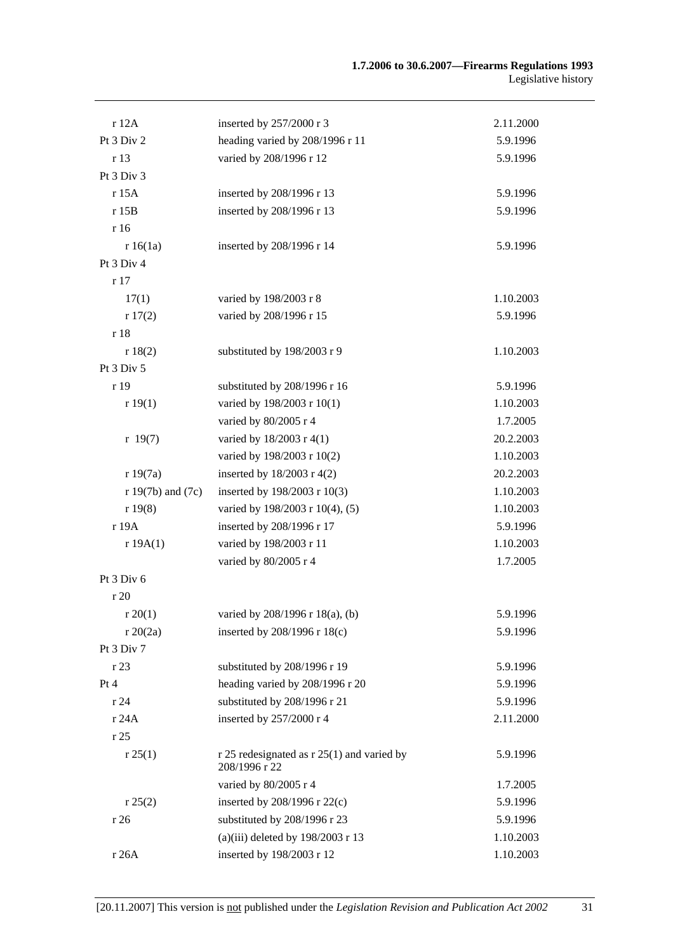| r 12A                 | inserted by 257/2000 r 3                                        | 2.11.2000 |
|-----------------------|-----------------------------------------------------------------|-----------|
| Pt 3 Div 2            | heading varied by 208/1996 r 11                                 | 5.9.1996  |
| r 13                  | varied by 208/1996 r 12                                         | 5.9.1996  |
| Pt 3 Div 3            |                                                                 |           |
| r 15A                 | inserted by 208/1996 r 13                                       | 5.9.1996  |
| r 15B                 | inserted by 208/1996 r 13                                       | 5.9.1996  |
| r 16                  |                                                                 |           |
| r16(1a)               | inserted by 208/1996 r 14                                       | 5.9.1996  |
| Pt 3 Div 4            |                                                                 |           |
| r17                   |                                                                 |           |
| 17(1)                 | varied by 198/2003 r 8                                          | 1.10.2003 |
| r17(2)                | varied by 208/1996 r 15                                         | 5.9.1996  |
| r 18                  |                                                                 |           |
| r 18(2)               | substituted by 198/2003 r 9                                     | 1.10.2003 |
| Pt 3 Div 5            |                                                                 |           |
| r 19                  | substituted by 208/1996 r 16                                    | 5.9.1996  |
| r 19(1)               | varied by 198/2003 r 10(1)                                      | 1.10.2003 |
|                       | varied by 80/2005 r 4                                           | 1.7.2005  |
| r 19(7)               | varied by 18/2003 r 4(1)                                        | 20.2.2003 |
|                       | varied by 198/2003 r 10(2)                                      | 1.10.2003 |
| r 19(7a)              | inserted by $18/2003$ r 4(2)                                    | 20.2.2003 |
| $r 19(7b)$ and $(7c)$ | inserted by 198/2003 r 10(3)                                    | 1.10.2003 |
| r 19(8)               | varied by 198/2003 r 10(4), (5)                                 | 1.10.2003 |
| r 19A                 | inserted by 208/1996 r 17                                       | 5.9.1996  |
| r 19A(1)              | varied by 198/2003 r 11                                         | 1.10.2003 |
|                       | varied by 80/2005 r 4                                           | 1.7.2005  |
| Pt 3 Div 6            |                                                                 |           |
| r 20                  |                                                                 |           |
| r 20(1)               | varied by 208/1996 r 18(a), (b)                                 | 5.9.1996  |
| r 20(2a)              | inserted by $208/1996$ r $18(c)$                                | 5.9.1996  |
| Pt 3 Div 7            |                                                                 |           |
| r 23                  | substituted by 208/1996 r 19                                    | 5.9.1996  |
| Pt 4                  | heading varied by 208/1996 r 20                                 | 5.9.1996  |
| r 24                  | substituted by 208/1996 r 21                                    | 5.9.1996  |
| r 24A                 | inserted by 257/2000 r 4                                        | 2.11.2000 |
| r 25                  |                                                                 |           |
| r 25(1)               | $r$ 25 redesignated as $r$ 25(1) and varied by<br>208/1996 r 22 | 5.9.1996  |
|                       | varied by 80/2005 r 4                                           | 1.7.2005  |
| r 25(2)               | inserted by 208/1996 r 22(c)                                    | 5.9.1996  |
| r 26                  | substituted by 208/1996 r 23                                    | 5.9.1996  |
|                       | (a)(iii) deleted by $198/2003$ r 13                             | 1.10.2003 |
| r 26A                 | inserted by 198/2003 r 12                                       | 1.10.2003 |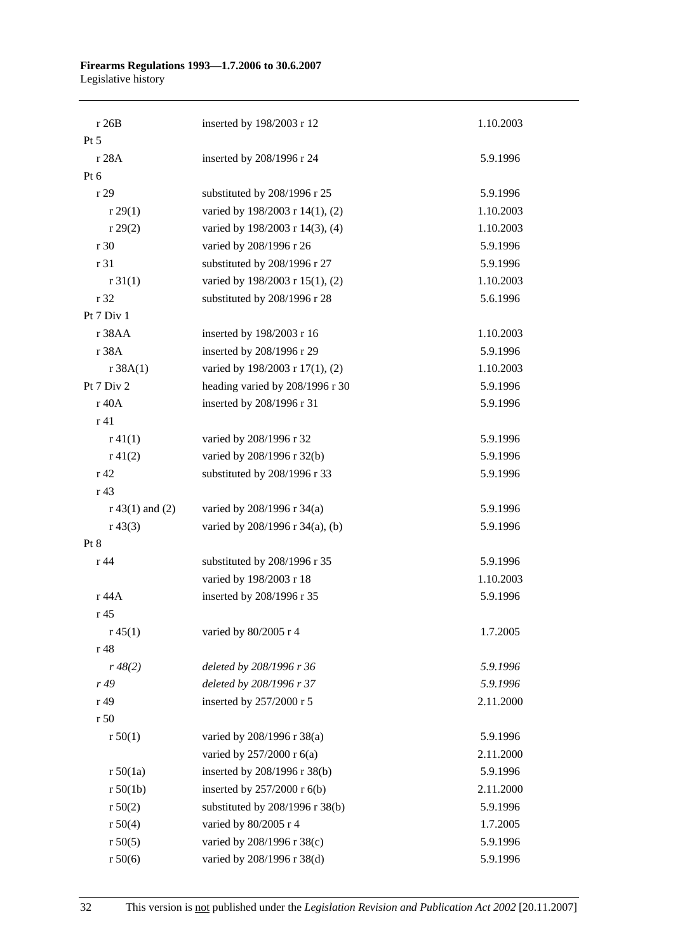#### **Firearms Regulations 1993—1.7.2006 to 30.6.2007**  Legislative history

| r 26B             | inserted by 198/2003 r 12           | 1.10.2003 |
|-------------------|-------------------------------------|-----------|
| $Pt\,5$           |                                     |           |
| r 28A             | inserted by 208/1996 r 24           | 5.9.1996  |
| Pt 6              |                                     |           |
| r 29              | substituted by 208/1996 r 25        | 5.9.1996  |
| r 29(1)           | varied by 198/2003 r 14(1), (2)     | 1.10.2003 |
| r 29(2)           | varied by 198/2003 r 14(3), (4)     | 1.10.2003 |
| r 30              | varied by 208/1996 r 26             | 5.9.1996  |
| r 31              | substituted by 208/1996 r 27        | 5.9.1996  |
| $r \, 31(1)$      | varied by 198/2003 r 15(1), (2)     | 1.10.2003 |
| r 32              | substituted by 208/1996 r 28        | 5.6.1996  |
| Pt 7 Div 1        |                                     |           |
| r 38AA            | inserted by 198/2003 r 16           | 1.10.2003 |
| r 38A             | inserted by 208/1996 r 29           | 5.9.1996  |
| r 38A(1)          | varied by 198/2003 r 17(1), (2)     | 1.10.2003 |
| Pt $7$ Div $2$    | heading varied by 208/1996 r 30     | 5.9.1996  |
| r 40A             | inserted by 208/1996 r 31           | 5.9.1996  |
| r 41              |                                     |           |
| r 41(1)           | varied by 208/1996 r 32             | 5.9.1996  |
| $r\,41(2)$        | varied by 208/1996 r 32(b)          | 5.9.1996  |
| r 42              | substituted by 208/1996 r 33        | 5.9.1996  |
| r 43              |                                     |           |
| $r 43(1)$ and (2) | varied by 208/1996 r 34(a)          | 5.9.1996  |
| $r\,43(3)$        | varied by 208/1996 r 34(a), (b)     | 5.9.1996  |
| Pt 8              |                                     |           |
| r 44              | substituted by 208/1996 r 35        | 5.9.1996  |
|                   | varied by 198/2003 r 18             | 1.10.2003 |
| r 44A             | inserted by 208/1996 r 35           | 5.9.1996  |
| r 45              |                                     |           |
| r 45(1)           | varied by 80/2005 r 4               | 1.7.2005  |
| r 48              |                                     |           |
| r 48(2)           | deleted by 208/1996 r 36            | 5.9.1996  |
| r 49              | deleted by 208/1996 r 37            | 5.9.1996  |
| r 49              | inserted by 257/2000 r 5            | 2.11.2000 |
| r 50              |                                     |           |
| r 50(1)           | varied by 208/1996 r 38(a)          | 5.9.1996  |
|                   | varied by 257/2000 r 6(a)           | 2.11.2000 |
| r 50(1a)          | inserted by 208/1996 r 38(b)        | 5.9.1996  |
| r 50(1b)          | inserted by $257/2000$ r $6(b)$     | 2.11.2000 |
| r 50(2)           | substituted by $208/1996$ r $38(b)$ | 5.9.1996  |
| r 50(4)           | varied by 80/2005 r 4               | 1.7.2005  |
| r 50(5)           | varied by 208/1996 r 38(c)          | 5.9.1996  |
| r 50(6)           | varied by 208/1996 r 38(d)          | 5.9.1996  |